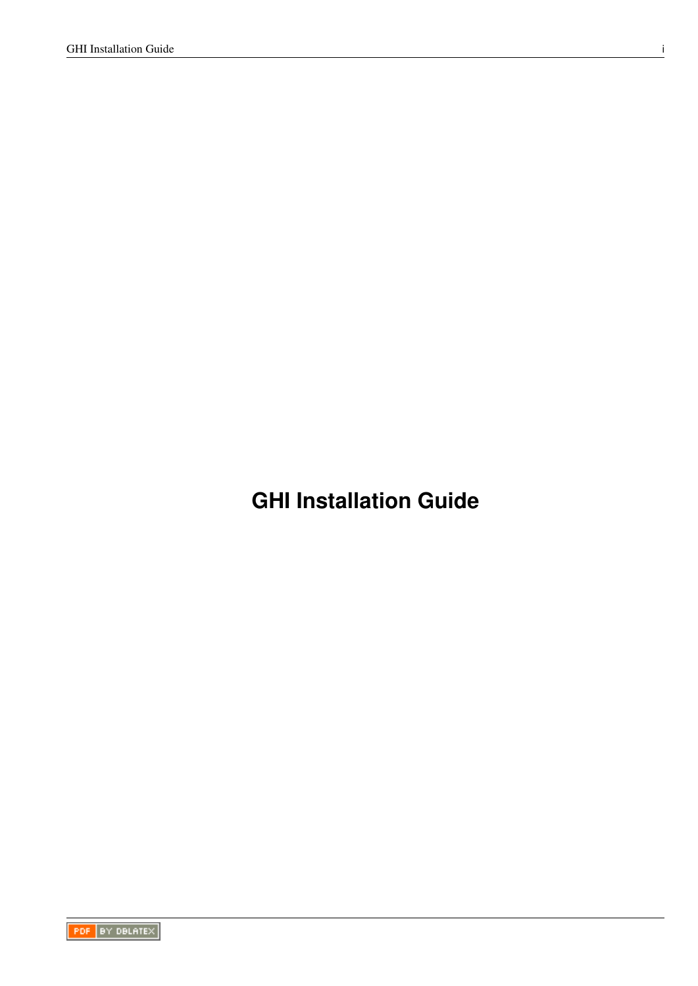**GHI Installation Guide**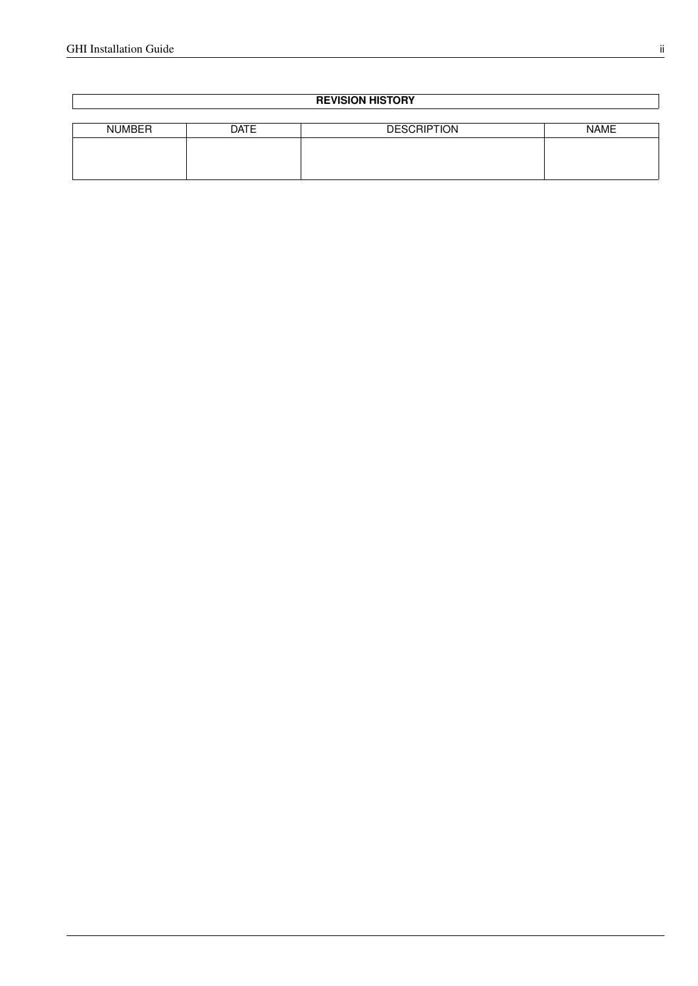### **REVISION HISTORY**

| <b>NUMBER</b> | <b>DATE</b> | <b>DESCRIPTION</b> | <b>NAME</b> |
|---------------|-------------|--------------------|-------------|
|               |             |                    |             |
|               |             |                    |             |
|               |             |                    |             |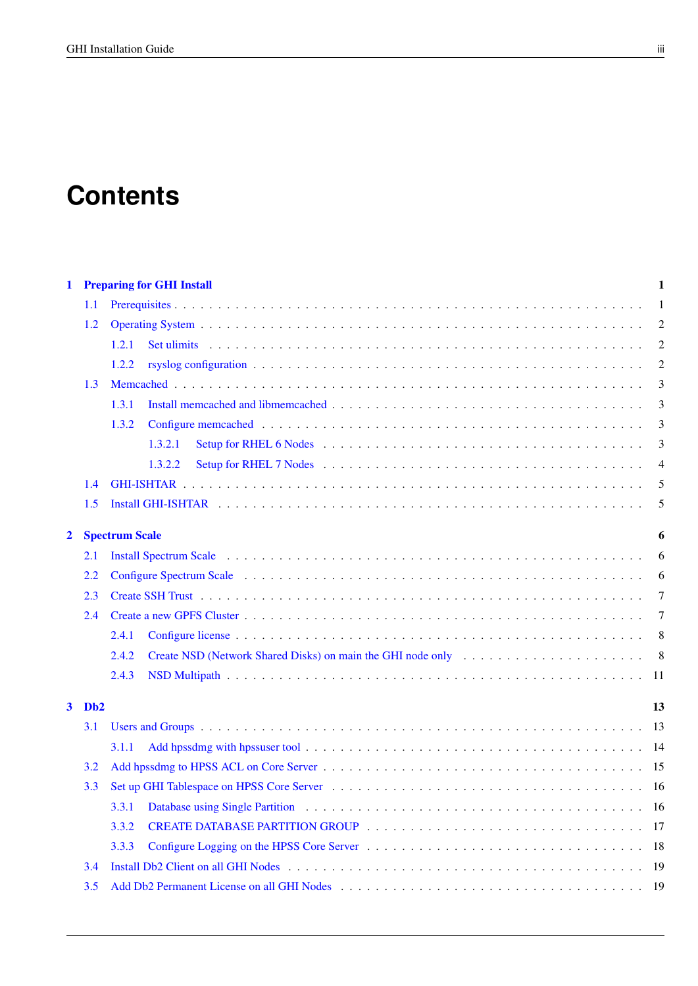# **Contents**

| 1                       |                  | <b>Preparing for GHI Install</b>                                                                                                                                                                                                        |                |  |
|-------------------------|------------------|-----------------------------------------------------------------------------------------------------------------------------------------------------------------------------------------------------------------------------------------|----------------|--|
|                         | 1.1              |                                                                                                                                                                                                                                         | -1             |  |
| 1.2                     |                  | $\overline{2}$                                                                                                                                                                                                                          |                |  |
|                         |                  | Set ulimits response to the contract of the contract of the contract of the contract of the contract of the contract of the contract of the contract of the contract of the contract of the contract of the contract of the co<br>1.2.1 | $\overline{2}$ |  |
|                         |                  | 1.2.2                                                                                                                                                                                                                                   | $\overline{2}$ |  |
|                         | 1.3              |                                                                                                                                                                                                                                         | 3              |  |
|                         |                  | 1.3.1                                                                                                                                                                                                                                   | 3              |  |
|                         |                  | 1.3.2                                                                                                                                                                                                                                   | 3              |  |
|                         |                  | 1.3.2.1                                                                                                                                                                                                                                 | 3              |  |
|                         |                  | 1.3.2.2                                                                                                                                                                                                                                 | $\overline{4}$ |  |
|                         | 1.4              |                                                                                                                                                                                                                                         | 5              |  |
|                         | 1.5              |                                                                                                                                                                                                                                         | 5              |  |
| $\overline{\mathbf{2}}$ |                  | <b>Spectrum Scale</b>                                                                                                                                                                                                                   | 6              |  |
|                         | 2.1              |                                                                                                                                                                                                                                         | 6              |  |
| 2.2                     |                  |                                                                                                                                                                                                                                         | 6              |  |
|                         | 2.3              |                                                                                                                                                                                                                                         |                |  |
|                         | 2.4              |                                                                                                                                                                                                                                         | $\overline{7}$ |  |
|                         |                  | 2.4.1                                                                                                                                                                                                                                   |                |  |
|                         |                  | 2.4.2                                                                                                                                                                                                                                   |                |  |
|                         |                  | 2.4.3                                                                                                                                                                                                                                   |                |  |
| $\mathbf{3}$            | D <sub>b</sub> 2 |                                                                                                                                                                                                                                         | 13             |  |
|                         | 3.1              |                                                                                                                                                                                                                                         |                |  |
|                         |                  | 3.1.1                                                                                                                                                                                                                                   |                |  |
|                         | 3.2              |                                                                                                                                                                                                                                         |                |  |
|                         | 3.3              |                                                                                                                                                                                                                                         |                |  |
|                         |                  | 3.3.1                                                                                                                                                                                                                                   |                |  |
|                         |                  | 3.3.2                                                                                                                                                                                                                                   |                |  |
|                         |                  | 3.3.3                                                                                                                                                                                                                                   |                |  |
|                         | 3.4              | Install Db2 Client on all GHI Nodes entertainment of the set of the set of the set of the set of the set of the set of the set of the set of the set of the set of the set of the set of the set of the set of the set of the           |                |  |
|                         | 3.5              |                                                                                                                                                                                                                                         |                |  |
|                         |                  |                                                                                                                                                                                                                                         |                |  |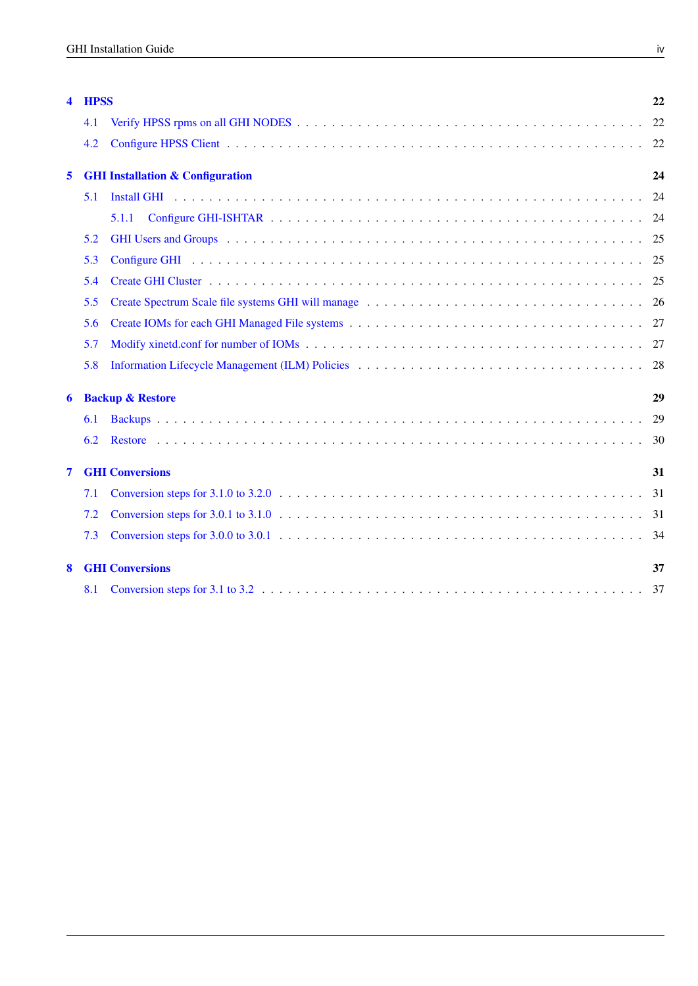| 4 | <b>HPSS</b>                 |                                             | 22 |
|---|-----------------------------|---------------------------------------------|----|
|   | 4.1                         |                                             | 22 |
|   | 4.2                         |                                             | 22 |
| 5 |                             | <b>GHI Installation &amp; Configuration</b> | 24 |
|   | 5.1                         |                                             | 24 |
|   |                             | 5.1.1                                       |    |
|   | 5.2                         |                                             | 25 |
|   | 5.3                         |                                             | 25 |
|   | 5.4                         |                                             |    |
|   | 5.5                         |                                             | 26 |
|   | 5.6                         |                                             |    |
|   | 5.7                         |                                             | 27 |
|   | 5.8                         |                                             | 28 |
| 6 | <b>Backup &amp; Restore</b> |                                             | 29 |
|   | 6.1                         |                                             | 29 |
|   | 6.2                         |                                             | 30 |
| 7 |                             | <b>GHI Conversions</b>                      | 31 |
|   | 7.1                         |                                             | 31 |
|   | 7.2                         |                                             | 31 |
|   | 7.3                         |                                             | 34 |
| 8 |                             | <b>GHI Conversions</b>                      | 37 |
|   | 8.1                         |                                             | 37 |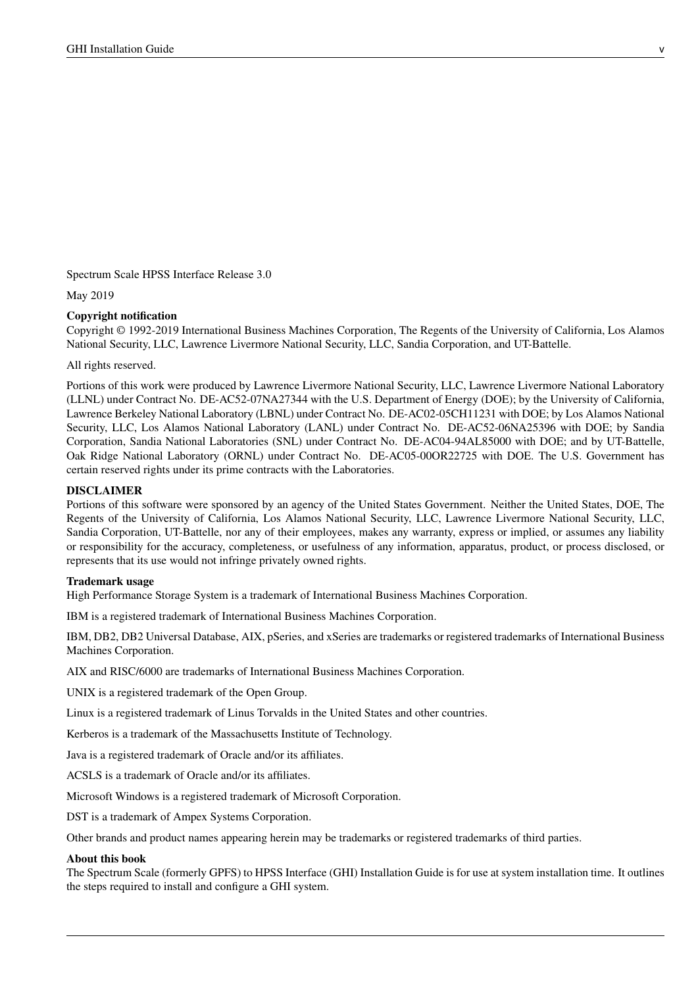Spectrum Scale HPSS Interface Release 3.0

May 2019

### Copyright notification

Copyright © 1992-2019 International Business Machines Corporation, The Regents of the University of California, Los Alamos National Security, LLC, Lawrence Livermore National Security, LLC, Sandia Corporation, and UT-Battelle.

All rights reserved.

Portions of this work were produced by Lawrence Livermore National Security, LLC, Lawrence Livermore National Laboratory (LLNL) under Contract No. DE-AC52-07NA27344 with the U.S. Department of Energy (DOE); by the University of California, Lawrence Berkeley National Laboratory (LBNL) under Contract No. DE-AC02-05CH11231 with DOE; by Los Alamos National Security, LLC, Los Alamos National Laboratory (LANL) under Contract No. DE-AC52-06NA25396 with DOE; by Sandia Corporation, Sandia National Laboratories (SNL) under Contract No. DE-AC04-94AL85000 with DOE; and by UT-Battelle, Oak Ridge National Laboratory (ORNL) under Contract No. DE-AC05-00OR22725 with DOE. The U.S. Government has certain reserved rights under its prime contracts with the Laboratories.

### DISCLAIMER

Portions of this software were sponsored by an agency of the United States Government. Neither the United States, DOE, The Regents of the University of California, Los Alamos National Security, LLC, Lawrence Livermore National Security, LLC, Sandia Corporation, UT-Battelle, nor any of their employees, makes any warranty, express or implied, or assumes any liability or responsibility for the accuracy, completeness, or usefulness of any information, apparatus, product, or process disclosed, or represents that its use would not infringe privately owned rights.

### Trademark usage

High Performance Storage System is a trademark of International Business Machines Corporation.

IBM is a registered trademark of International Business Machines Corporation.

IBM, DB2, DB2 Universal Database, AIX, pSeries, and xSeries are trademarks or registered trademarks of International Business Machines Corporation.

AIX and RISC/6000 are trademarks of International Business Machines Corporation.

UNIX is a registered trademark of the Open Group.

Linux is a registered trademark of Linus Torvalds in the United States and other countries.

Kerberos is a trademark of the Massachusetts Institute of Technology.

Java is a registered trademark of Oracle and/or its affiliates.

ACSLS is a trademark of Oracle and/or its affiliates.

Microsoft Windows is a registered trademark of Microsoft Corporation.

DST is a trademark of Ampex Systems Corporation.

Other brands and product names appearing herein may be trademarks or registered trademarks of third parties.

#### About this book

The Spectrum Scale (formerly GPFS) to HPSS Interface (GHI) Installation Guide is for use at system installation time. It outlines the steps required to install and configure a GHI system.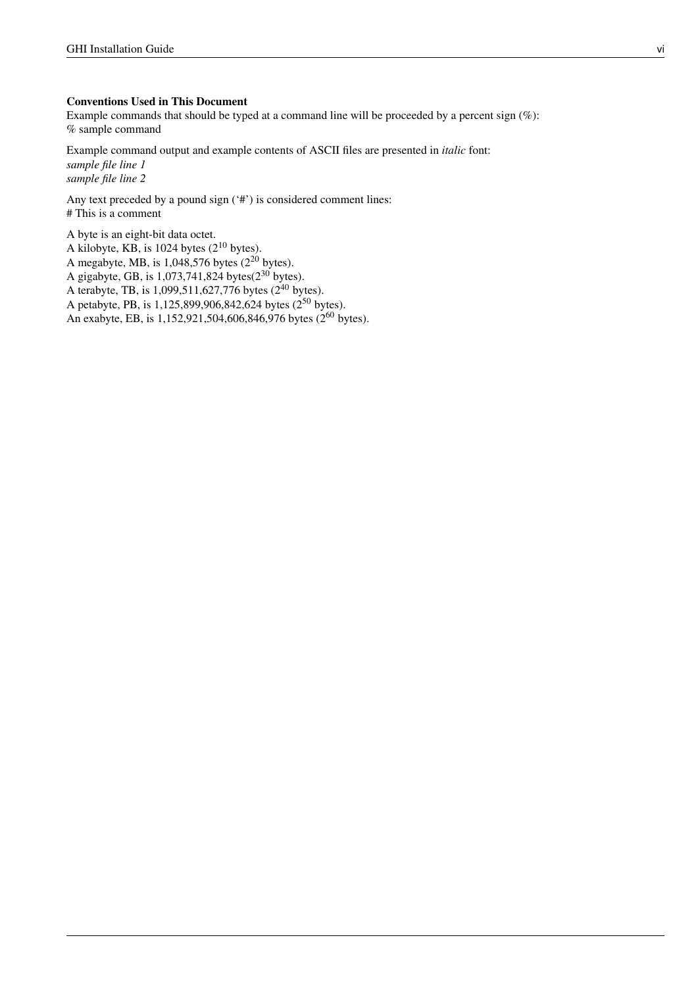### Conventions Used in This Document

Example commands that should be typed at a command line will be proceeded by a percent sign (%): % sample command

Example command output and example contents of ASCII files are presented in *italic* font: *sample file line 1 sample file line 2*

Any text preceded by a pound sign ('#') is considered comment lines: # This is a comment

A byte is an eight-bit data octet. A kilobyte, KB, is 1024 bytes ( $2^{10}$  bytes). A megabyte, MB, is  $1,048,576$  bytes  $(2^{20}$  bytes). A gigabyte, GB, is  $1,073,741,824$  bytes( $2^{30}$  bytes). A terabyte, TB, is  $1,099,511,627,776$  bytes (2<sup>40</sup> bytes). A petabyte, PB, is 1,125,899,906,842,624 bytes (2<sup>50</sup> bytes). An exabyte, EB, is 1,152,921,504,606,846,976 bytes (2<sup>60</sup> bytes).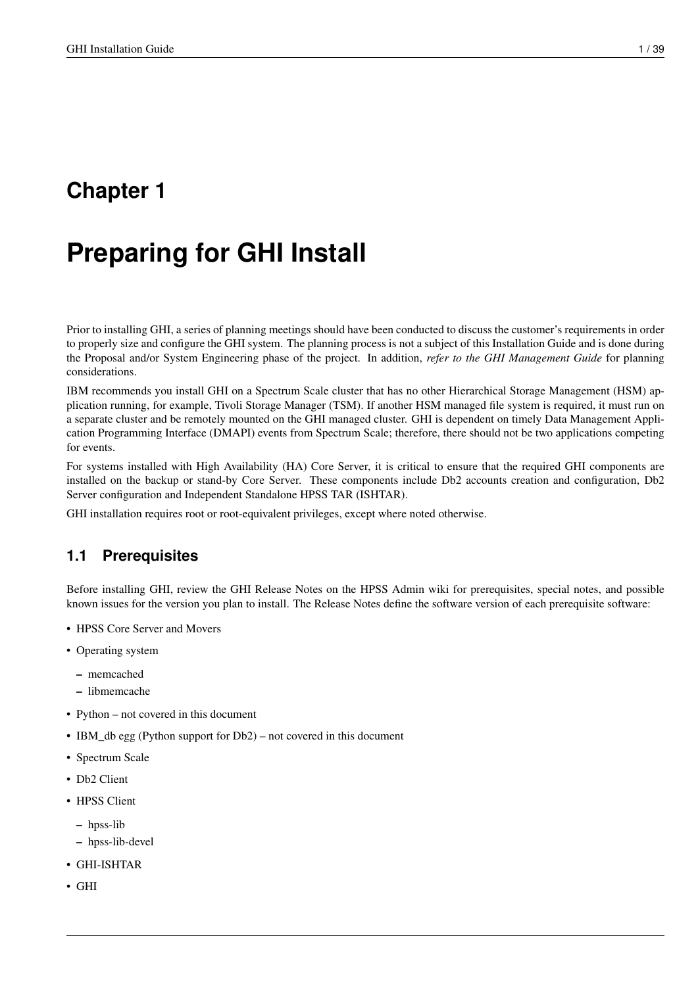# <span id="page-6-0"></span>**Chapter 1**

# **Preparing for GHI Install**

Prior to installing GHI, a series of planning meetings should have been conducted to discuss the customer's requirements in order to properly size and configure the GHI system. The planning process is not a subject of this Installation Guide and is done during the Proposal and/or System Engineering phase of the project. In addition, *refer to the GHI Management Guide* for planning considerations.

IBM recommends you install GHI on a Spectrum Scale cluster that has no other Hierarchical Storage Management (HSM) application running, for example, Tivoli Storage Manager (TSM). If another HSM managed file system is required, it must run on a separate cluster and be remotely mounted on the GHI managed cluster. GHI is dependent on timely Data Management Application Programming Interface (DMAPI) events from Spectrum Scale; therefore, there should not be two applications competing for events.

For systems installed with High Availability (HA) Core Server, it is critical to ensure that the required GHI components are installed on the backup or stand-by Core Server. These components include Db2 accounts creation and configuration, Db2 Server configuration and Independent Standalone HPSS TAR (ISHTAR).

GHI installation requires root or root-equivalent privileges, except where noted otherwise.

# <span id="page-6-1"></span>**1.1 Prerequisites**

Before installing GHI, review the GHI Release Notes on the HPSS Admin wiki for prerequisites, special notes, and possible known issues for the version you plan to install. The Release Notes define the software version of each prerequisite software:

- HPSS Core Server and Movers
- Operating system
	- memcached
	- libmemcache
- Python not covered in this document
- IBM\_db egg (Python support for Db2) not covered in this document
- Spectrum Scale
- Db2 Client
- HPSS Client
	- hpss-lib
	- hpss-lib-devel
- GHI-ISHTAR
- GHI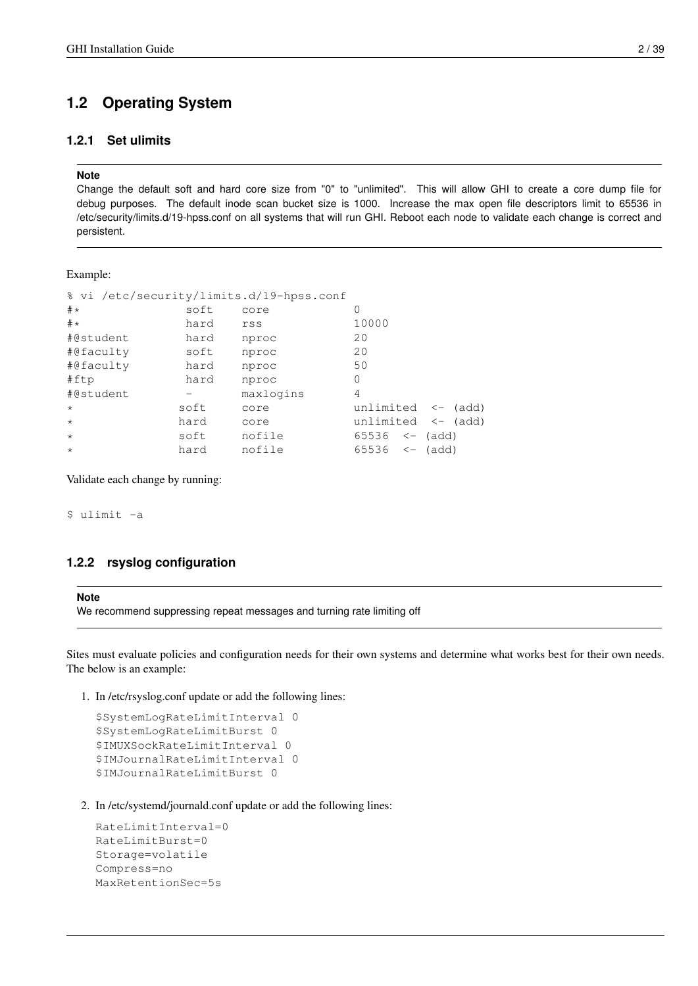# <span id="page-7-0"></span>**1.2 Operating System**

### <span id="page-7-1"></span>**1.2.1 Set ulimits**

### **Note**

Change the default soft and hard core size from "0" to "unlimited". This will allow GHI to create a core dump file for debug purposes. The default inode scan bucket size is 1000. Increase the max open file descriptors limit to 65536 in /etc/security/limits.d/19-hpss.conf on all systems that will run GHI. Reboot each node to validate each change is correct and persistent.

### Example:

| % vi /etc/security/limits.d/19-hpss.conf |           |                               |  |  |  |
|------------------------------------------|-----------|-------------------------------|--|--|--|
| soft                                     | core      |                               |  |  |  |
| hard                                     | rss       | 10000                         |  |  |  |
| hard                                     | nproc     | 20                            |  |  |  |
| soft                                     | nproc     | 20                            |  |  |  |
| hard                                     | nproc     | 50                            |  |  |  |
| hard                                     | nproc     | $\Omega$                      |  |  |  |
|                                          | maxlogins | 4                             |  |  |  |
| soft                                     | core      | unlimited $\leftarrow$ (add)  |  |  |  |
| hard                                     | core      | unlimited $\leftarrow$ (add)  |  |  |  |
| soft                                     | nofile    | $65536 \le - \text{(add)}$    |  |  |  |
| hard                                     | nofile    | $65536$ $\leftarrow$<br>(add) |  |  |  |
|                                          |           |                               |  |  |  |

Validate each change by running:

\$ ulimit -a

### <span id="page-7-2"></span>**1.2.2 rsyslog configuration**

### **Note**

We recommend suppressing repeat messages and turning rate limiting off

Sites must evaluate policies and configuration needs for their own systems and determine what works best for their own needs. The below is an example:

1. In /etc/rsyslog.conf update or add the following lines:

```
$SystemLogRateLimitInterval 0
$SystemLogRateLimitBurst 0
$IMUXSockRateLimitInterval 0
$IMJournalRateLimitInterval 0
$IMJournalRateLimitBurst 0
```
2. In /etc/systemd/journald.conf update or add the following lines:

```
RateLimitInterval=0
RateLimitBurst=0
Storage=volatile
Compress=no
MaxRetentionSec=5s
```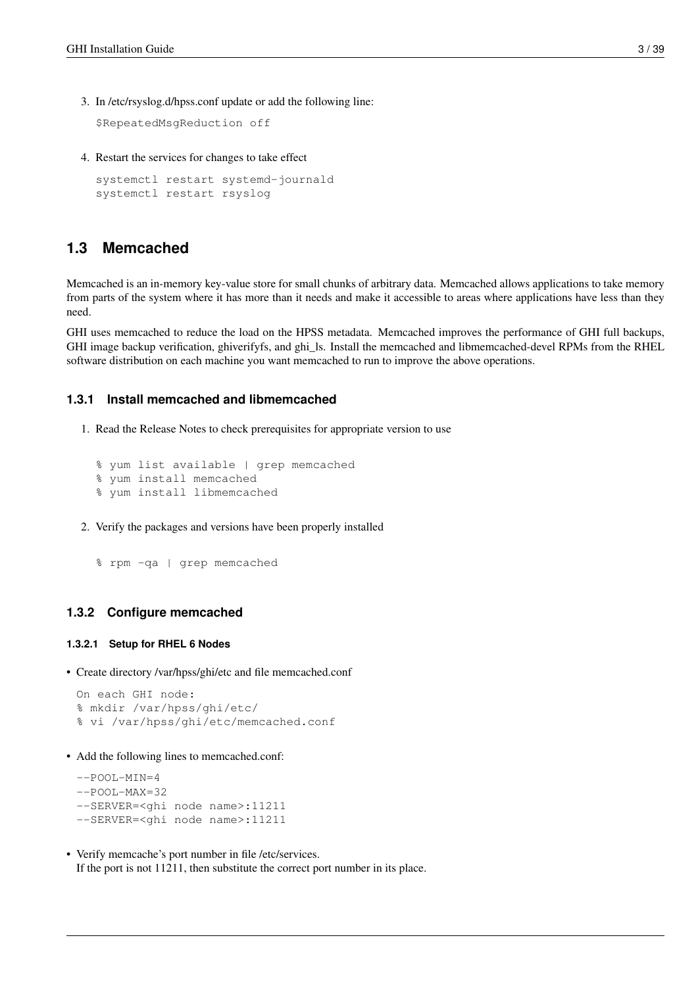3. In /etc/rsyslog.d/hpss.conf update or add the following line:

\$RepeatedMsgReduction off

4. Restart the services for changes to take effect

```
systemctl restart systemd-journald
systemctl restart rsyslog
```
### <span id="page-8-0"></span>**1.3 Memcached**

Memcached is an in-memory key-value store for small chunks of arbitrary data. Memcached allows applications to take memory from parts of the system where it has more than it needs and make it accessible to areas where applications have less than they need.

GHI uses memcached to reduce the load on the HPSS metadata. Memcached improves the performance of GHI full backups, GHI image backup verification, ghiverifyfs, and ghi\_ls. Install the memcached and libmemcached-devel RPMs from the RHEL software distribution on each machine you want memcached to run to improve the above operations.

### <span id="page-8-1"></span>**1.3.1 Install memcached and libmemcached**

1. Read the Release Notes to check prerequisites for appropriate version to use

```
% yum list available | grep memcached
% yum install memcached
% yum install libmemcached
```
2. Verify the packages and versions have been properly installed

```
% rpm -qa | grep memcached
```
### <span id="page-8-2"></span>**1.3.2 Configure memcached**

#### <span id="page-8-3"></span>**1.3.2.1 Setup for RHEL 6 Nodes**

• Create directory /var/hpss/ghi/etc and file memcached.conf

```
On each GHI node:
% mkdir /var/hpss/ghi/etc/
% vi /var/hpss/ghi/etc/memcached.conf
```
• Add the following lines to memcached.conf:

```
--POOL-MIN=4--POOL-MAX=32--SERVER=<ghi node name>:11211
--SERVER=<ghi node name>:11211
```
• Verify memcache's port number in file /etc/services. If the port is not 11211, then substitute the correct port number in its place.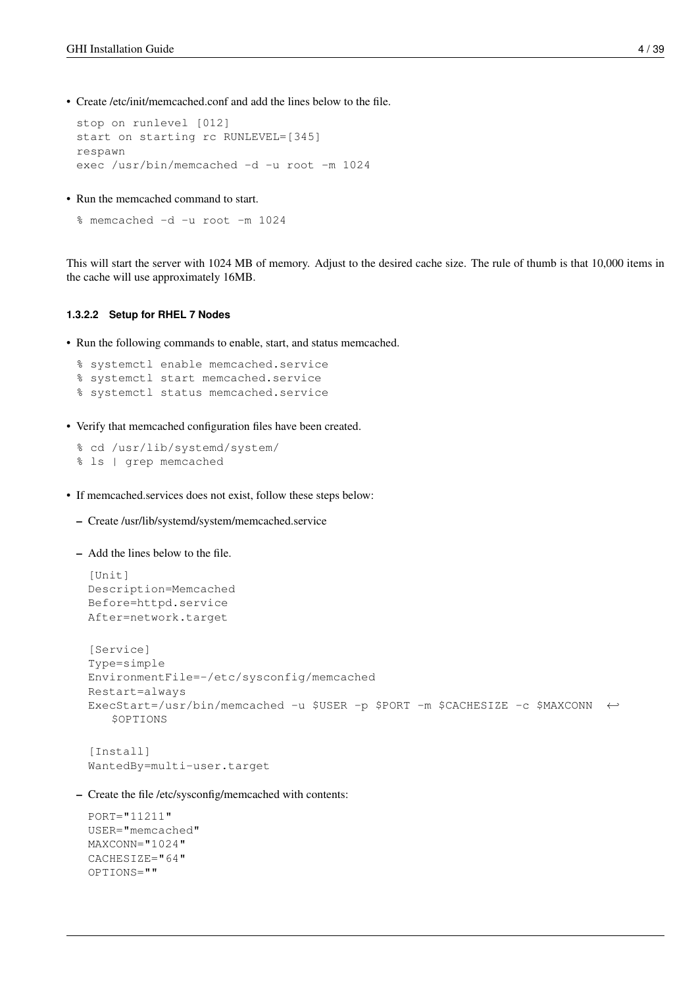• Create /etc/init/memcached.conf and add the lines below to the file.

```
stop on runlevel [012]
start on starting rc RUNLEVEL=[345]
respawn
exec /usr/bin/memcached -d -u root -m 1024
```
• Run the memcached command to start.

```
% memcached -d -u root -m 1024
```
This will start the server with 1024 MB of memory. Adjust to the desired cache size. The rule of thumb is that 10,000 items in the cache will use approximately 16MB.

### <span id="page-9-0"></span>**1.3.2.2 Setup for RHEL 7 Nodes**

• Run the following commands to enable, start, and status memcached.

```
% systemctl enable memcached.service
% systemctl start memcached.service
% systemctl status memcached.service
```
• Verify that memcached configuration files have been created.

```
% cd /usr/lib/systemd/system/
% ls | grep memcached
```
- If memcached.services does not exist, follow these steps below:
	- Create /usr/lib/systemd/system/memcached.service

```
– Add the lines below to the file.
```

```
[Unit]
Description=Memcached
Before=httpd.service
After=network.target
[Service]
Type=simple
EnvironmentFile=-/etc/sysconfig/memcached
Restart=always
ExecStart=/usr/bin/memcached -u $USER -p $PORT -m $CACHESIZE -c $MAXCONN ←
   $OPTIONS
```

```
[Install]
WantedBy=multi-user.target
```
– Create the file /etc/sysconfig/memcached with contents:

```
PORT="11211"
USER="memcached"
MAXCONN="1024"
CACHESIZE="64"
OPTIONS=""
```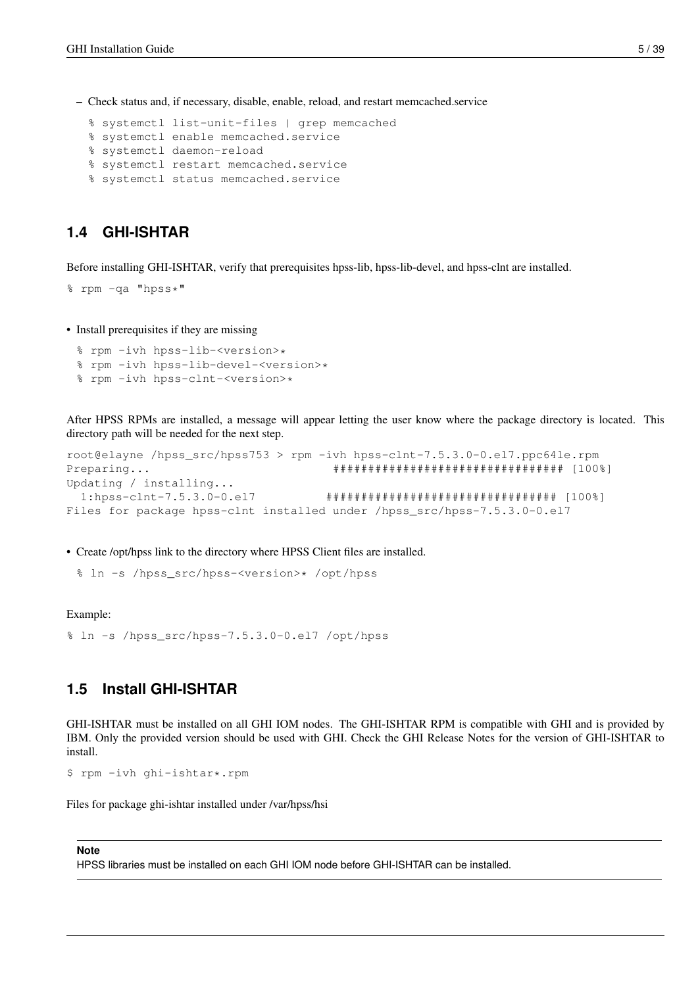– Check status and, if necessary, disable, enable, reload, and restart memcached.service

```
% systemctl list-unit-files | grep memcached
```
- % systemctl enable memcached.service
- % systemctl daemon-reload
- % systemctl restart memcached.service
- % systemctl status memcached.service

## <span id="page-10-0"></span>**1.4 GHI-ISHTAR**

Before installing GHI-ISHTAR, verify that prerequisites hpss-lib, hpss-lib-devel, and hpss-clnt are installed.

```
% rpm -qa "hpss*"
```
• Install prerequisites if they are missing

- % rpm -ivh hpss-lib-<version>\*
- % rpm -ivh hpss-lib-devel-<version>\*
- % rpm -ivh hpss-clnt-<version>\*

After HPSS RPMs are installed, a message will appear letting the user know where the package directory is located. This directory path will be needed for the next step.

```
root@elayne /hpss_src/hpss753 > rpm -ivh hpss-clnt-7.5.3.0-0.el7.ppc64le.rpm
Preparing... ################################# [100%]
Updating / installing...
  1:hpss-clnt-7.5.3.0-0.el7 ################################# [100%]
Files for package hpss-clnt installed under /hpss_src/hpss-7.5.3.0-0.el7
```
• Create /opt/hpss link to the directory where HPSS Client files are installed.

% ln -s /hpss\_src/hpss-<version>\* /opt/hpss

Example:

% ln -s /hpss\_src/hpss-7.5.3.0-0.el7 /opt/hpss

# <span id="page-10-1"></span>**1.5 Install GHI-ISHTAR**

GHI-ISHTAR must be installed on all GHI IOM nodes. The GHI-ISHTAR RPM is compatible with GHI and is provided by IBM. Only the provided version should be used with GHI. Check the GHI Release Notes for the version of GHI-ISHTAR to install.

```
$ rpm -ivh ghi-ishtar*.rpm
```
Files for package ghi-ishtar installed under /var/hpss/hsi

### **Note**

HPSS libraries must be installed on each GHI IOM node before GHI-ISHTAR can be installed.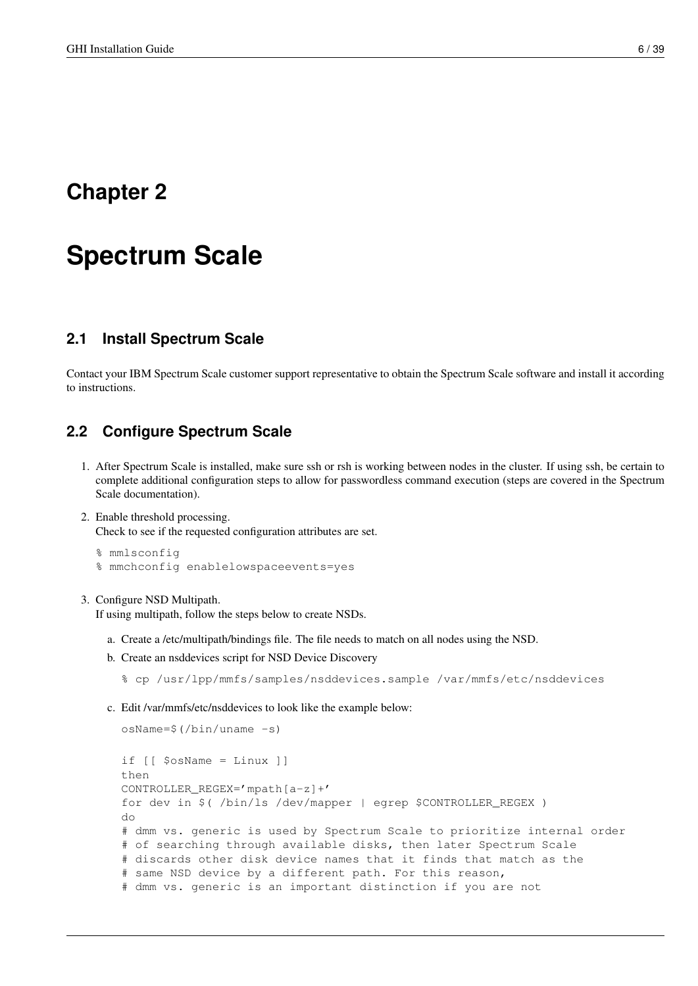# <span id="page-11-0"></span>**Chapter 2**

# **Spectrum Scale**

# <span id="page-11-1"></span>**2.1 Install Spectrum Scale**

Contact your IBM Spectrum Scale customer support representative to obtain the Spectrum Scale software and install it according to instructions.

# <span id="page-11-2"></span>**2.2 Configure Spectrum Scale**

- 1. After Spectrum Scale is installed, make sure ssh or rsh is working between nodes in the cluster. If using ssh, be certain to complete additional configuration steps to allow for passwordless command execution (steps are covered in the Spectrum Scale documentation).
- 2. Enable threshold processing.

Check to see if the requested configuration attributes are set.

```
% mmlsconfig
% mmchconfig enablelowspaceevents=yes
```
### 3. Configure NSD Multipath.

If using multipath, follow the steps below to create NSDs.

- a. Create a /etc/multipath/bindings file. The file needs to match on all nodes using the NSD.
- b. Create an nsddevices script for NSD Device Discovery

% cp /usr/lpp/mmfs/samples/nsddevices.sample /var/mmfs/etc/nsddevices

c. Edit /var/mmfs/etc/nsddevices to look like the example below:

```
osName=$(/bin/uname -s)
if [[ $osName = Linux ]]
then
CONTROLLER_REGEX='mpath[a-z]+'
for dev in $( /bin/ls /dev/mapper | egrep $CONTROLLER_REGEX )
do
# dmm vs. generic is used by Spectrum Scale to prioritize internal order
# of searching through available disks, then later Spectrum Scale
# discards other disk device names that it finds that match as the
# same NSD device by a different path. For this reason,
# dmm vs. generic is an important distinction if you are not
```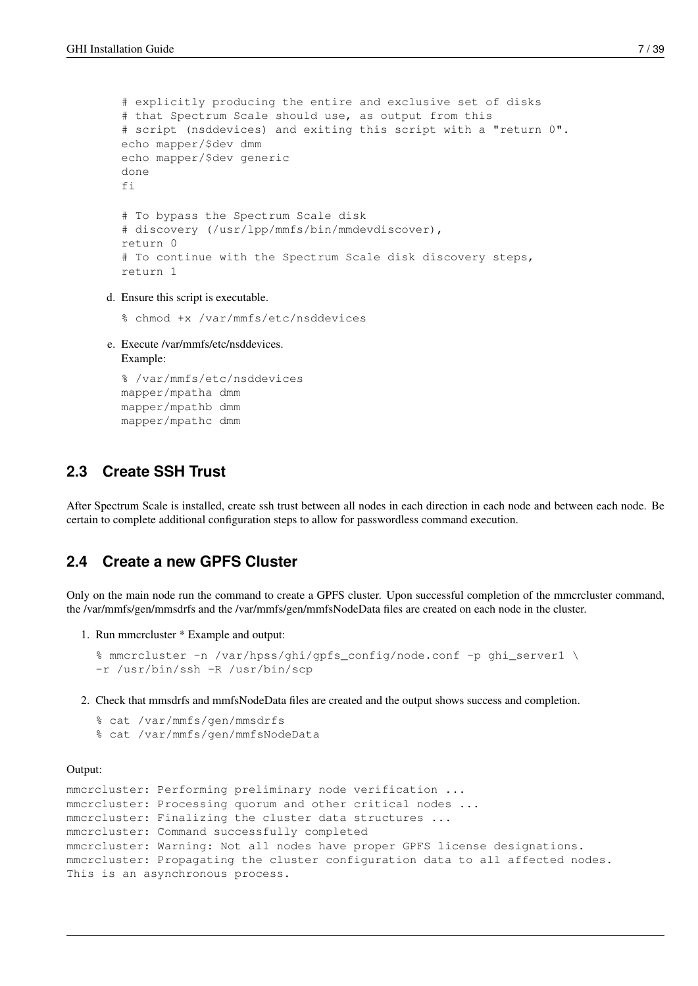```
# explicitly producing the entire and exclusive set of disks
# that Spectrum Scale should use, as output from this
# script (nsddevices) and exiting this script with a "return 0".
echo mapper/$dev dmm
echo mapper/$dev generic
done
fi
# To bypass the Spectrum Scale disk
# discovery (/usr/lpp/mmfs/bin/mmdevdiscover),
return 0
# To continue with the Spectrum Scale disk discovery steps,
return 1
```
d. Ensure this script is executable.

```
% chmod +x /var/mmfs/etc/nsddevices
```
e. Execute /var/mmfs/etc/nsddevices. Example:

% /var/mmfs/etc/nsddevices mapper/mpatha dmm mapper/mpathb dmm mapper/mpathc dmm

# <span id="page-12-0"></span>**2.3 Create SSH Trust**

After Spectrum Scale is installed, create ssh trust between all nodes in each direction in each node and between each node. Be certain to complete additional configuration steps to allow for passwordless command execution.

# <span id="page-12-1"></span>**2.4 Create a new GPFS Cluster**

Only on the main node run the command to create a GPFS cluster. Upon successful completion of the mmcrcluster command, the /var/mmfs/gen/mmsdrfs and the /var/mmfs/gen/mmfsNodeData files are created on each node in the cluster.

1. Run mmcrcluster \* Example and output:

```
% mmcrcluster -n /var/hpss/ghi/gpfs_config/node.conf -p ghi_server1 \
-r /usr/bin/ssh -R /usr/bin/scp
```
2. Check that mmsdrfs and mmfsNodeData files are created and the output shows success and completion.

```
% cat /var/mmfs/gen/mmsdrfs
% cat /var/mmfs/gen/mmfsNodeData
```
### Output:

```
mmcrcluster: Performing preliminary node verification ...
mmcrcluster: Processing quorum and other critical nodes ...
mmcrcluster: Finalizing the cluster data structures ...
mmcrcluster: Command successfully completed
mmcrcluster: Warning: Not all nodes have proper GPFS license designations.
mmcrcluster: Propagating the cluster configuration data to all affected nodes.
This is an asynchronous process.
```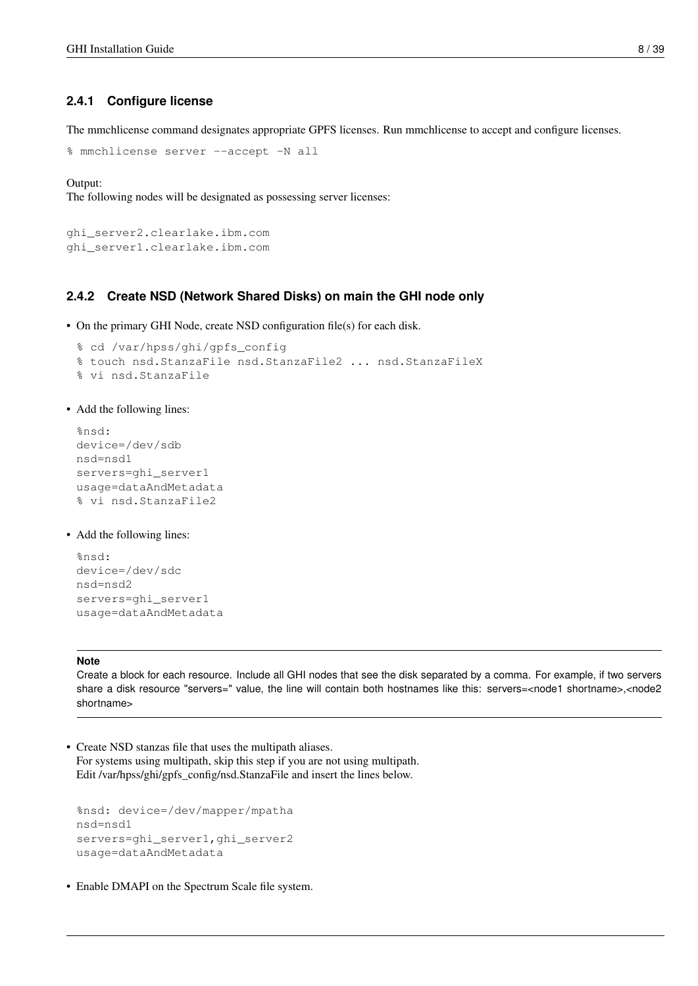### <span id="page-13-0"></span>**2.4.1 Configure license**

The mmchlicense command designates appropriate GPFS licenses. Run mmchlicense to accept and configure licenses.

```
% mmchlicense server --accept -N all
```
Output:

The following nodes will be designated as possessing server licenses:

```
ghi_server2.clearlake.ibm.com
ghi_server1.clearlake.ibm.com
```
### <span id="page-13-1"></span>**2.4.2 Create NSD (Network Shared Disks) on main the GHI node only**

• On the primary GHI Node, create NSD configuration file(s) for each disk.

```
% cd /var/hpss/ghi/gpfs_config
% touch nsd.StanzaFile nsd.StanzaFile2 ... nsd.StanzaFileX
% vi nsd.StanzaFile
```
### • Add the following lines:

```
%nsd:
device=/dev/sdb
nsd=nsd1
servers=ghi_server1
usage=dataAndMetadata
% vi nsd.StanzaFile2
```
• Add the following lines:

```
%nsd:
device=/dev/sdc
nsd=nsd2
servers=ghi_server1
usage=dataAndMetadata
```
### **Note**

Create a block for each resource. Include all GHI nodes that see the disk separated by a comma. For example, if two servers share a disk resource "servers=" value, the line will contain both hostnames like this: servers=<node1 shortname>,<node2 shortname>

• Create NSD stanzas file that uses the multipath aliases. For systems using multipath, skip this step if you are not using multipath. Edit /var/hpss/ghi/gpfs\_config/nsd.StanzaFile and insert the lines below.

```
%nsd: device=/dev/mapper/mpatha
nsd=nsd1
servers=ghi_server1,ghi_server2
usage=dataAndMetadata
```
• Enable DMAPI on the Spectrum Scale file system.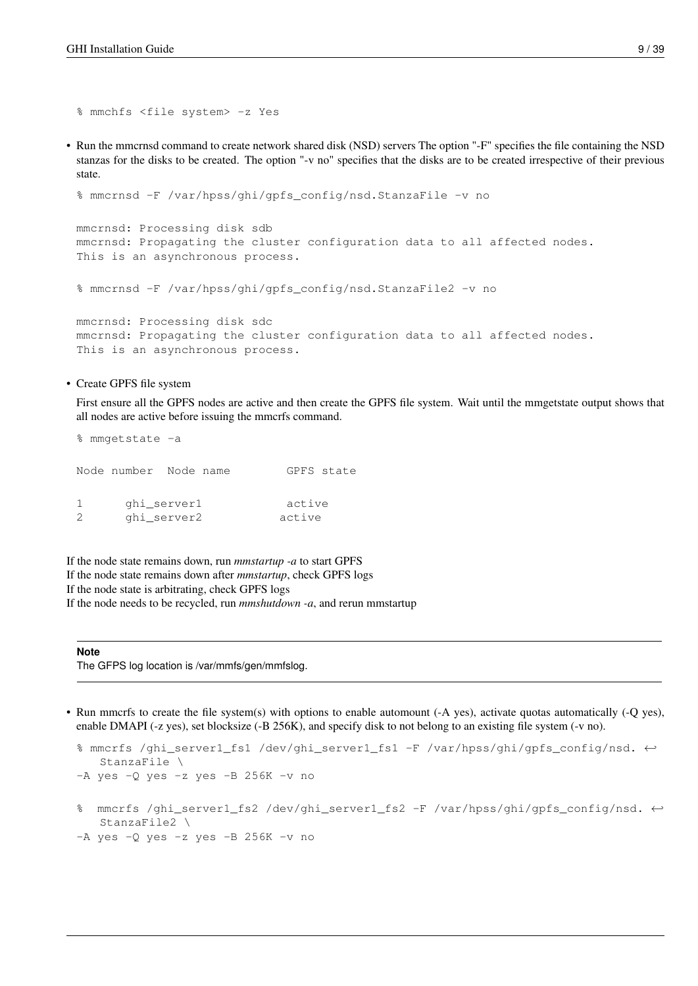```
% mmchfs <file system> -z Yes
```
• Run the mmcrnsd command to create network shared disk (NSD) servers The option "-F" specifies the file containing the NSD stanzas for the disks to be created. The option "-v no" specifies that the disks are to be created irrespective of their previous state.

```
% mmcrnsd -F /var/hpss/ghi/gpfs_config/nsd.StanzaFile -v no
mmcrnsd: Processing disk sdb
mmcrnsd: Propagating the cluster configuration data to all affected nodes.
This is an asynchronous process.
% mmcrnsd -F /var/hpss/ghi/gpfs_config/nsd.StanzaFile2 -v no
```
mmcrnsd: Processing disk sdc mmcrnsd: Propagating the cluster configuration data to all affected nodes. This is an asynchronous process.

• Create GPFS file system

First ensure all the GPFS nodes are active and then create the GPFS file system. Wait until the mmgetstate output shows that all nodes are active before issuing the mmcrfs command.

```
% mmgetstate -a
Node number Node name GPFS state
1 ghi_server1 active
2 ghi_server2 active
```
If the node state remains down, run *mmstartup -a* to start GPFS If the node state remains down after *mmstartup*, check GPFS logs If the node state is arbitrating, check GPFS logs If the node needs to be recycled, run *mmshutdown -a*, and rerun mmstartup

#### **Note**

The GFPS log location is /var/mmfs/gen/mmfslog.

• Run mmcrfs to create the file system(s) with options to enable automount (-A yes), activate quotas automatically (-Q yes), enable DMAPI (-z yes), set blocksize (-B 256K), and specify disk to not belong to an existing file system (-v no).

```
% mmcrfs /ghi_server1_fs1 /dev/ghi_server1_fs1 -F /var/hpss/ghi/gpfs_config/nsd. ←-
   StanzaFile \
-A yes -Q yes -z yes -B 256K -v no
% mmcrfs /ghi_server1_fs2 /dev/ghi_server1_fs2 -F /var/hpss/ghi/gpfs_config/nsd. ←-
   StanzaFile2 \
-A yes -Q yes -z yes -B 256K -v no
```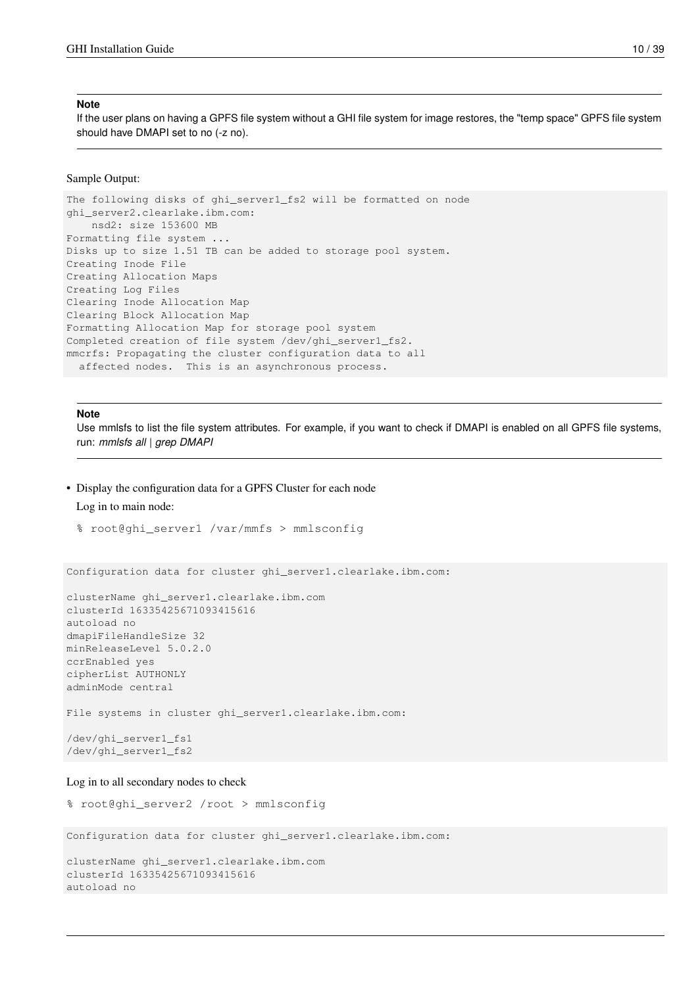#### **Note**

If the user plans on having a GPFS file system without a GHI file system for image restores, the "temp space" GPFS file system should have DMAPI set to no (-z no).

### Sample Output:

The following disks of ghi\_server1\_fs2 will be formatted on node ghi\_server2.clearlake.ibm.com: nsd2: size 153600 MB Formatting file system ... Disks up to size 1.51 TB can be added to storage pool system. Creating Inode File Creating Allocation Maps Creating Log Files Clearing Inode Allocation Map Clearing Block Allocation Map Formatting Allocation Map for storage pool system Completed creation of file system /dev/ghi\_server1\_fs2. mmcrfs: Propagating the cluster configuration data to all affected nodes. This is an asynchronous process.

### **Note**

Use mmlsfs to list the file system attributes. For example, if you want to check if DMAPI is enabled on all GPFS file systems, run: *mmlsfs all* | *grep DMAPI*

• Display the configuration data for a GPFS Cluster for each node

### Log in to main node:

```
% root@ghi_server1 /var/mmfs > mmlsconfig
```
Configuration data for cluster ghi\_server1.clearlake.ibm.com:

```
clusterName ghi_server1.clearlake.ibm.com
clusterId 16335425671093415616
autoload no
dmapiFileHandleSize 32
minReleaseLevel 5.0.2.0
ccrEnabled yes
cipherList AUTHONLY
adminMode central
File systems in cluster ghi_server1.clearlake.ibm.com:
/dev/ghi_server1_fs1
/dev/ghi_server1_fs2
```
### Log in to all secondary nodes to check

```
% root@ghi_server2 /root > mmlsconfig
```
Configuration data for cluster ghi\_server1.clearlake.ibm.com:

clusterName ghi\_server1.clearlake.ibm.com clusterId 16335425671093415616 autoload no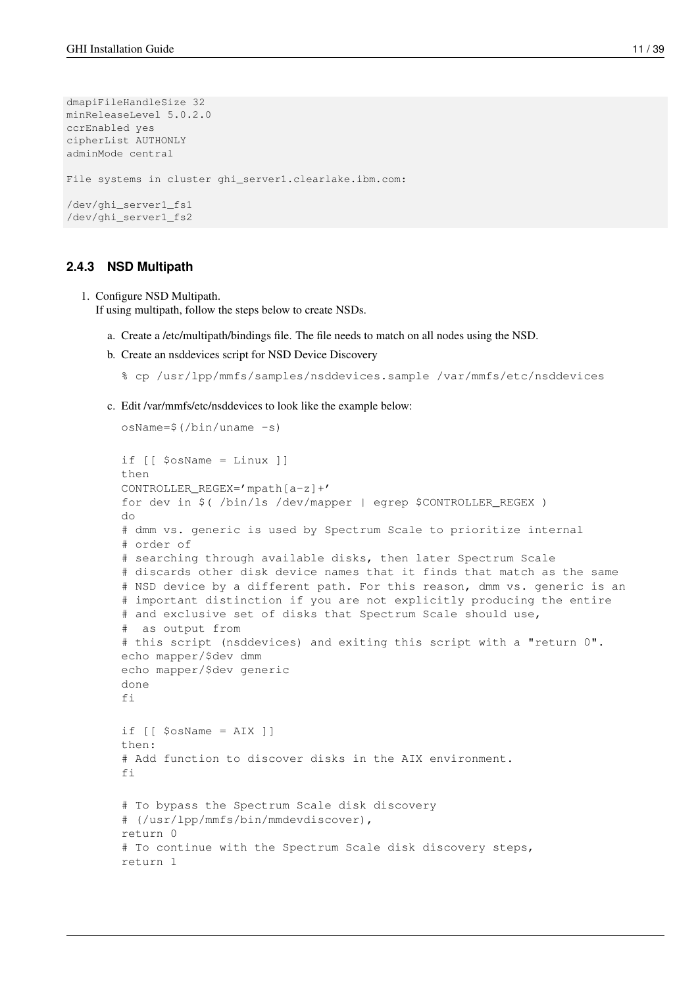```
dmapiFileHandleSize 32
minReleaseLevel 5.0.2.0
ccrEnabled yes
cipherList AUTHONLY
adminMode central
File systems in cluster ghi_server1.clearlake.ibm.com:
/dev/ghi_server1_fs1
/dev/ghi_server1_fs2
```
### <span id="page-16-0"></span>**2.4.3 NSD Multipath**

1. Configure NSD Multipath.

If using multipath, follow the steps below to create NSDs.

- a. Create a /etc/multipath/bindings file. The file needs to match on all nodes using the NSD.
- b. Create an nsddevices script for NSD Device Discovery

```
% cp /usr/lpp/mmfs/samples/nsddevices.sample /var/mmfs/etc/nsddevices
```
c. Edit /var/mmfs/etc/nsddevices to look like the example below:

```
osName=$(/bin/uname -s)
if [[ $osName = Linux ]]
then
CONTROLLER_REGEX='mpath[a-z]+'
for dev in $( /bin/ls /dev/mapper | egrep $CONTROLLER_REGEX )
do
# dmm vs. generic is used by Spectrum Scale to prioritize internal
# order of
# searching through available disks, then later Spectrum Scale
# discards other disk device names that it finds that match as the same
# NSD device by a different path. For this reason, dmm vs. generic is an
# important distinction if you are not explicitly producing the entire
# and exclusive set of disks that Spectrum Scale should use,
# as output from
# this script (nsddevices) and exiting this script with a "return 0".
echo mapper/$dev dmm
echo mapper/$dev generic
done
f_iif \lceil \int $osName = AIX \rceil]
then:
# Add function to discover disks in the AIX environment.
fi
# To bypass the Spectrum Scale disk discovery
# (/usr/lpp/mmfs/bin/mmdevdiscover),
return 0
# To continue with the Spectrum Scale disk discovery steps,
return 1
```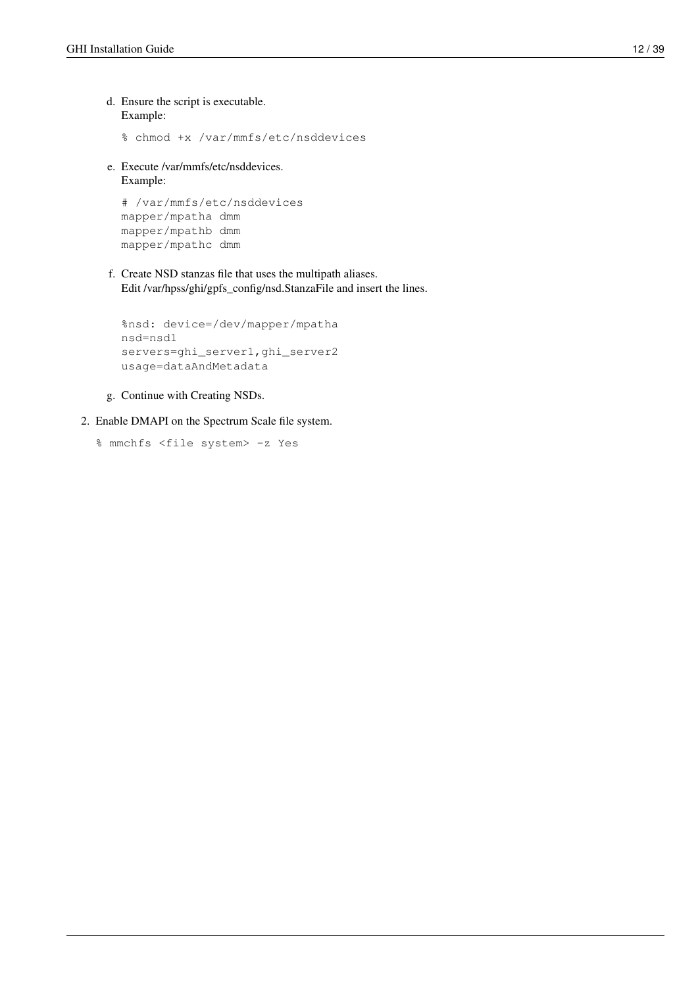d. Ensure the script is executable. Example:

% chmod +x /var/mmfs/etc/nsddevices

e. Execute /var/mmfs/etc/nsddevices. Example:

```
# /var/mmfs/etc/nsddevices
mapper/mpatha dmm
mapper/mpathb dmm
mapper/mpathc dmm
```
f. Create NSD stanzas file that uses the multipath aliases. Edit /var/hpss/ghi/gpfs\_config/nsd.StanzaFile and insert the lines.

```
%nsd: device=/dev/mapper/mpatha
nsd=nsd1
servers=ghi_server1,ghi_server2
usage=dataAndMetadata
```
- g. Continue with Creating NSDs.
- 2. Enable DMAPI on the Spectrum Scale file system.

```
% mmchfs <file system> -z Yes
```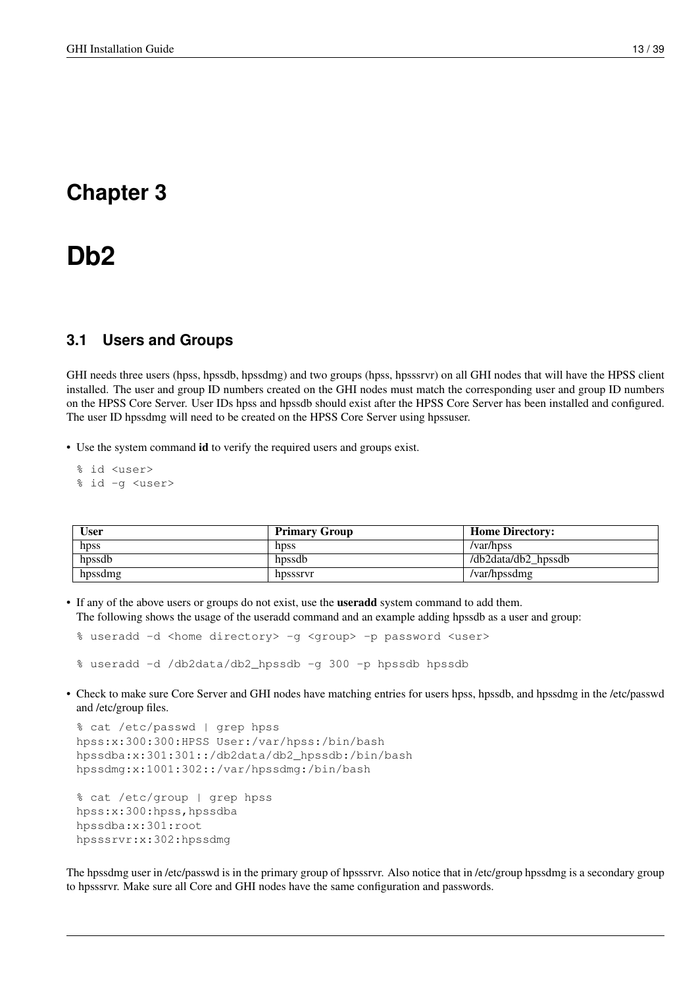# <span id="page-18-0"></span>**Chapter 3**

# **Db2**

# <span id="page-18-1"></span>**3.1 Users and Groups**

GHI needs three users (hpss, hpssdb, hpssdmg) and two groups (hpss, hpsssrvr) on all GHI nodes that will have the HPSS client installed. The user and group ID numbers created on the GHI nodes must match the corresponding user and group ID numbers on the HPSS Core Server. User IDs hpss and hpssdb should exist after the HPSS Core Server has been installed and configured. The user ID hpssdmg will need to be created on the HPSS Core Server using hpssuser.

• Use the system command id to verify the required users and groups exist.

- % id <user>
- % id -g <user>

| <b>User</b> | <b>Primary Group</b> | <b>Home Directory:</b> |
|-------------|----------------------|------------------------|
| hpss        | hpss                 | /var/hpss              |
| hpssdb      | hpssdb               | /db2data/db2 hpssdb    |
| hpssdmg     | hpsssrvr             | /var/hpssdmg           |

• If any of the above users or groups do not exist, use the useradd system command to add them. The following shows the usage of the useradd command and an example adding hpssdb as a user and group:

% useradd -d <home directory> -g <group> -p password <user>

% useradd -d /db2data/db2\_hpssdb -g 300 -p hpssdb hpssdb

• Check to make sure Core Server and GHI nodes have matching entries for users hpss, hpssdb, and hpssdmg in the /etc/passwd and /etc/group files.

```
% cat /etc/passwd | grep hpss
hpss:x:300:300:HPSS User:/var/hpss:/bin/bash
hpssdba:x:301:301::/db2data/db2_hpssdb:/bin/bash
hpssdmg:x:1001:302::/var/hpssdmg:/bin/bash
```

```
% cat /etc/group | grep hpss
hpss:x:300:hpss,hpssdba
hpssdba:x:301:root
hpsssrvr:x:302:hpssdmg
```
The hpssdmg user in /etc/passwd is in the primary group of hpsssrvr. Also notice that in /etc/group hpssdmg is a secondary group to hpsssrvr. Make sure all Core and GHI nodes have the same configuration and passwords.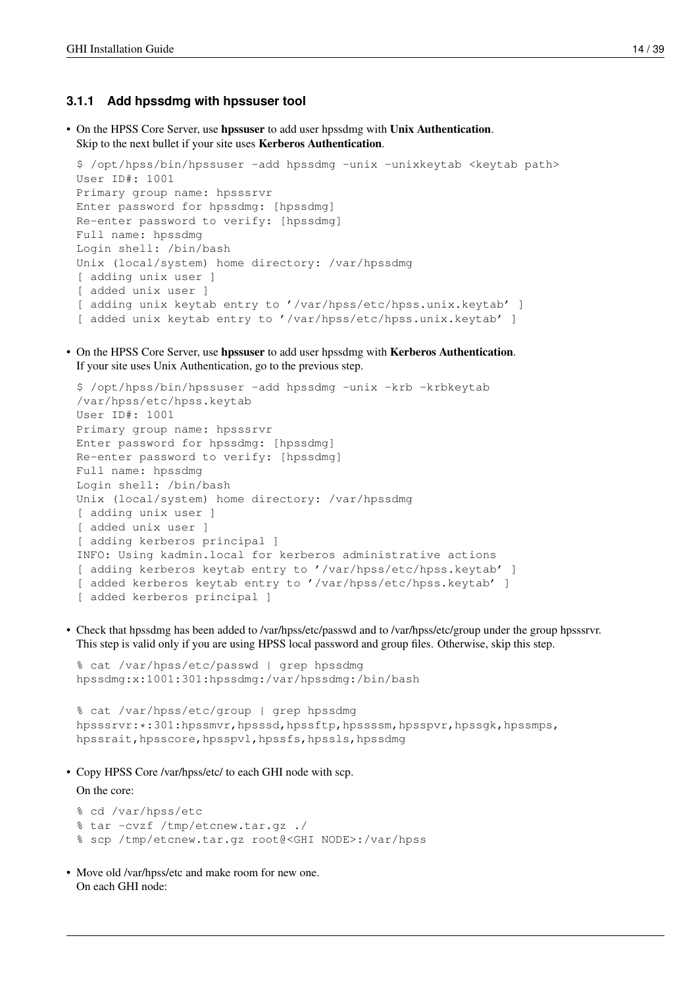### <span id="page-19-0"></span>**3.1.1 Add hpssdmg with hpssuser tool**

• On the HPSS Core Server, use hpssuser to add user hpssdmg with Unix Authentication. Skip to the next bullet if your site uses Kerberos Authentication.

```
$ /opt/hpss/bin/hpssuser -add hpssdmg -unix -unixkeytab <keytab path>
User ID#: 1001
Primary group name: hpsssrvr
Enter password for hpssdmg: [hpssdmg]
Re-enter password to verify: [hpssdmg]
Full name: hpssdmg
Login shell: /bin/bash
Unix (local/system) home directory: /var/hpssdmg
[ adding unix user ]
[ added unix user ]
[ adding unix keytab entry to '/var/hpss/etc/hpss.unix.keytab' ]
[ added unix keytab entry to '/var/hpss/etc/hpss.unix.keytab' ]
```
• On the HPSS Core Server, use hpssuser to add user hpssdmg with Kerberos Authentication. If your site uses Unix Authentication, go to the previous step.

```
$ /opt/hpss/bin/hpssuser -add hpssdmg -unix -krb -krbkeytab
/var/hpss/etc/hpss.keytab
User ID#: 1001
Primary group name: hpsssrvr
Enter password for hpssdmg: [hpssdmg]
Re-enter password to verify: [hpssdmg]
Full name: hpssdmg
Login shell: /bin/bash
Unix (local/system) home directory: /var/hpssdmg
[ adding unix user ]
[ added unix user ]
[ adding kerberos principal ]
INFO: Using kadmin.local for kerberos administrative actions
[ adding kerberos keytab entry to '/var/hpss/etc/hpss.keytab' ]
[ added kerberos keytab entry to '/var/hpss/etc/hpss.keytab' ]
[ added kerberos principal ]
```
• Check that hpssdmg has been added to /var/hpss/etc/passwd and to /var/hpss/etc/group under the group hpsssrvr. This step is valid only if you are using HPSS local password and group files. Otherwise, skip this step.

```
% cat /var/hpss/etc/passwd | grep hpssdmg
hpssdmg:x:1001:301:hpssdmg:/var/hpssdmg:/bin/bash
```
% cat /var/hpss/etc/group | grep hpssdmg hpsssrvr: \*: 301:hpssmvr,hpsssd,hpssftp,hpssssm,hpsspvr,hpssgk,hpssmps, hpssrait, hpsscore, hpsspvl, hpssfs, hpssls, hpssdmg

• Copy HPSS Core /var/hpss/etc/ to each GHI node with scp.

On the core:

```
% cd /var/hpss/etc
% tar -cvzf /tmp/etcnew.tar.gz ./
% scp /tmp/etcnew.tar.gz root@<GHI NODE>:/var/hpss
```
• Move old /var/hpss/etc and make room for new one. On each GHI node: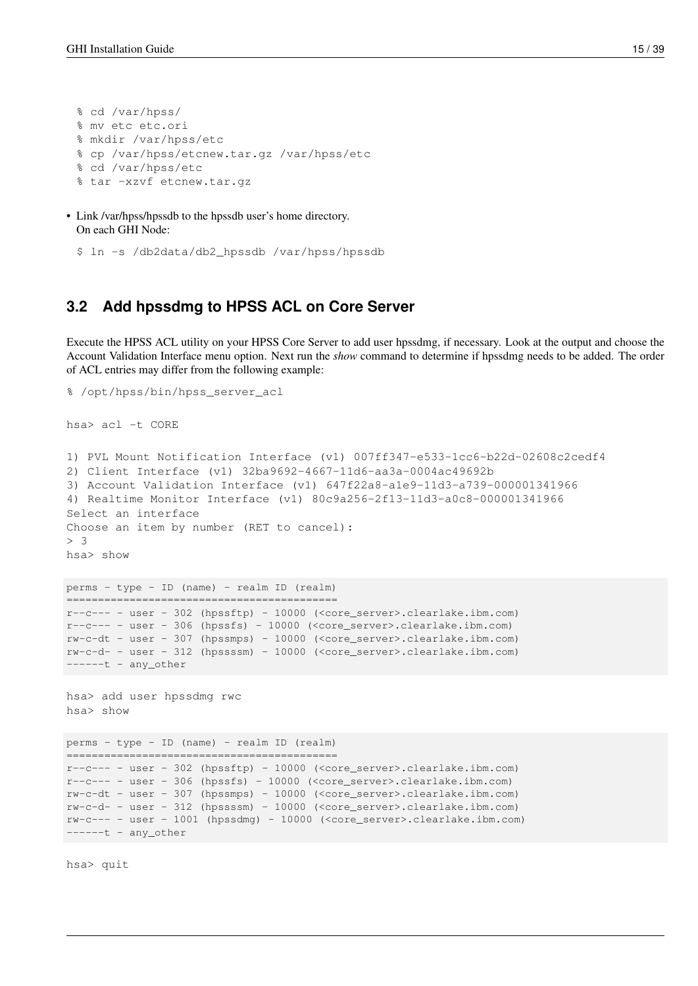% cd /var/hpss/ % mv etc etc.ori % mkdir /var/hpss/etc % cp /var/hpss/etcnew.tar.gz /var/hpss/etc % cd /var/hpss/etc % tar -xzvf etcnew.tar.gz

• Link /var/hpss/hpssdb to the hpssdb user's home directory. On each GHI Node:

```
$ ln -s /db2data/db2_hpssdb /var/hpss/hpssdb
```
## <span id="page-20-0"></span>**3.2 Add hpssdmg to HPSS ACL on Core Server**

Execute the HPSS ACL utility on your HPSS Core Server to add user hpssdmg, if necessary. Look at the output and choose the Account Validation Interface menu option. Next run the *show* command to determine if hpssdmg needs to be added. The order of ACL entries may differ from the following example:

```
% /opt/hpss/bin/hpss_server_acl
hsa> acl -t CORE
1) PVL Mount Notification Interface (v1) 007ff347-e533-1cc6-b22d-02608c2cedf4
2) Client Interface (v1) 32ba9692-4667-11d6-aa3a-0004ac49692b
3) Account Validation Interface (v1) 647f22a8-a1e9-11d3-a739-000001341966
4) Realtime Monitor Interface (v1) 80c9a256-2f13-11d3-a0c8-000001341966
Select an interface
Choose an item by number (RET to cancel):
> 3
hsa> show
perms - type - ID (name) - realm ID (realm)
===========================================
r--c--- - user - 302 (hpssftp) - 10000 (<core_server>.clearlake.ibm.com)
r-c--- - user - 306 (hpssfs) - 10000 (<core_server>.clearlake.ibm.com)
rw-c-dt - user - 307 (hpssmps) - 10000 (<core_server>.clearlake.ibm.com)
rw-c-d- - user - 312 (hpssssm) - 10000 (<core_server>.clearlake.ibm.com)
----t - any\_other
```

```
hsa> add user hpssdmg rwc
hsa> show
```

```
perms - type - ID (name) - realm ID (realm)
===========================================
r--c--- - user - 302 (hpssftp) - 10000 (<core_server>.clearlake.ibm.com)
r--c--- - user - 306 (hpssfs) - 10000 (<core_server>.clearlake.ibm.com)
rw-c-dt - user - 307 (hpssmps) - 10000 (<core_server>.clearlake.ibm.com)
rw-c-d- - user - 312 (hpssssm) - 10000 (<core_server>.clearlake.ibm.com)
rw-c--- - user - 1001 (hpssdmg) - 10000 (<core_server>.clearlake.ibm.com)
----t - any_other
```
hsa> quit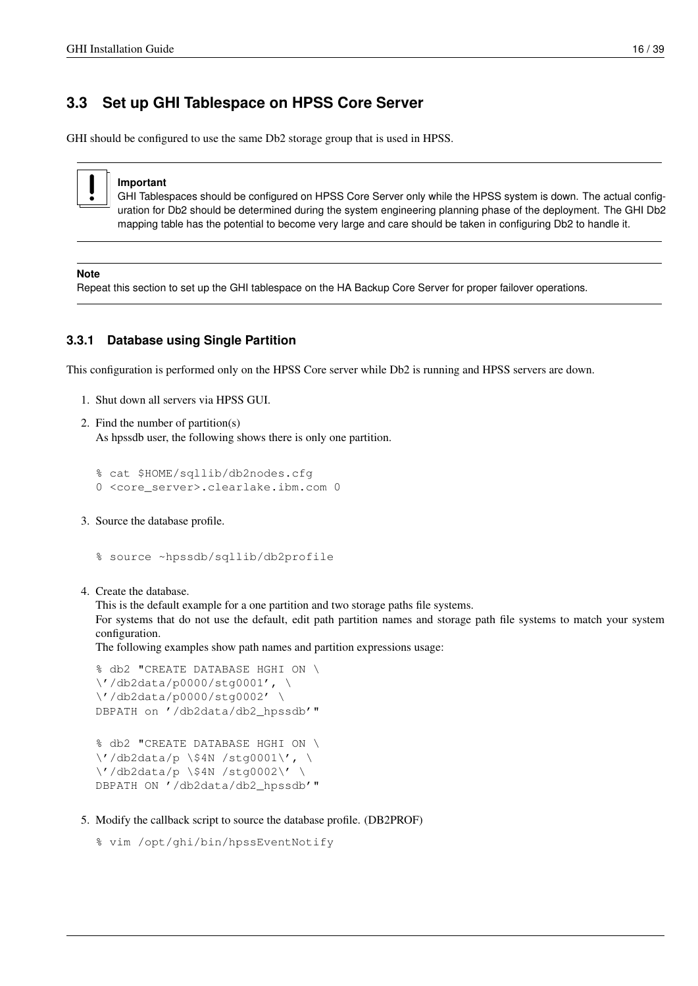# <span id="page-21-0"></span>**3.3 Set up GHI Tablespace on HPSS Core Server**

GHI should be configured to use the same Db2 storage group that is used in HPSS.



### **Important**

GHI Tablespaces should be configured on HPSS Core Server only while the HPSS system is down. The actual configuration for Db2 should be determined during the system engineering planning phase of the deployment. The GHI Db2 mapping table has the potential to become very large and care should be taken in configuring Db2 to handle it.

### **Note**

Repeat this section to set up the GHI tablespace on the HA Backup Core Server for proper failover operations.

### <span id="page-21-1"></span>**3.3.1 Database using Single Partition**

This configuration is performed only on the HPSS Core server while Db2 is running and HPSS servers are down.

- 1. Shut down all servers via HPSS GUI.
- 2. Find the number of partition(s) As hpssdb user, the following shows there is only one partition.

```
% cat $HOME/sqllib/db2nodes.cfg
0 <core_server>.clearlake.ibm.com 0
```
3. Source the database profile.

```
% source ~hpssdb/sqllib/db2profile
```
4. Create the database.

This is the default example for a one partition and two storage paths file systems.

For systems that do not use the default, edit path partition names and storage path file systems to match your system configuration.

The following examples show path names and partition expressions usage:

```
% db2 "CREATE DATABASE HGHI ON \
\'/db2data/p0000/stg0001', \
\'/db2data/p0000/stg0002' \
DBPATH on '/db2data/db2_hpssdb'"
```

```
% db2 "CREATE DATABASE HGHI ON \
\'/db2data/p \$4N /stg0001\', \
\'/db2data/p \$4N /stg0002\' \
DBPATH ON '/db2data/db2_hpssdb'"
```
5. Modify the callback script to source the database profile. (DB2PROF)

```
% vim /opt/ghi/bin/hpssEventNotify
```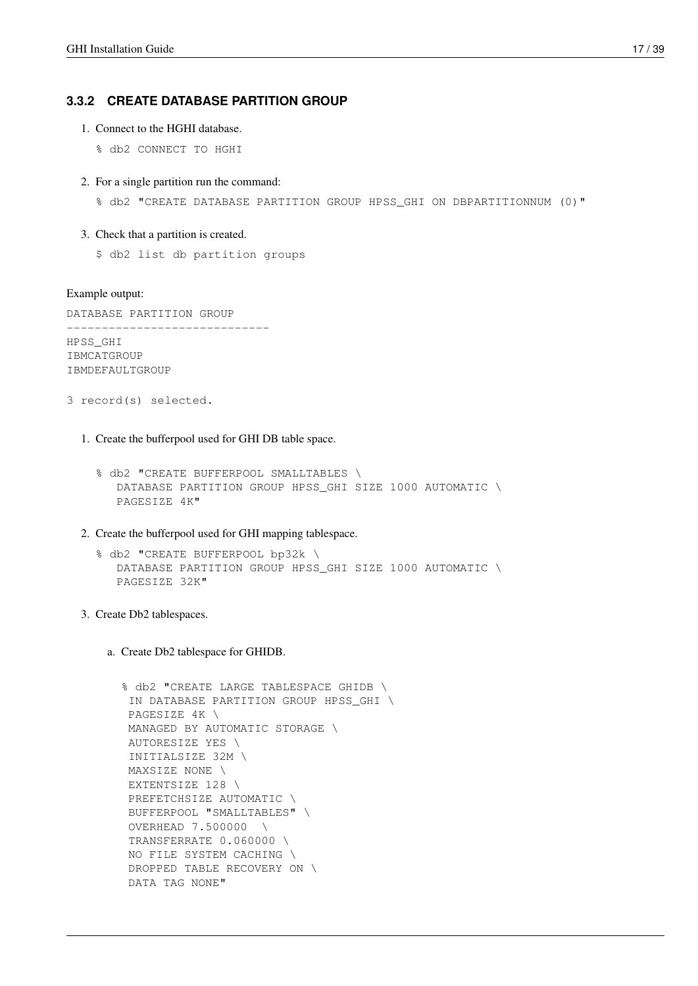### <span id="page-22-0"></span>**3.3.2 CREATE DATABASE PARTITION GROUP**

- 1. Connect to the HGHI database.
	- % db2 CONNECT TO HGHI
- 2. For a single partition run the command:

% db2 "CREATE DATABASE PARTITION GROUP HPSS\_GHI ON DBPARTITIONNUM (0)"

### 3. Check that a partition is created.

\$ db2 list db partition groups

### Example output:

DATABASE PARTITION GROUP ----------------------------- HPSS\_GHI **TBMCATGROUP** IBMDEFAULTGROUP

- 3 record(s) selected.
	- 1. Create the bufferpool used for GHI DB table space.
		- % db2 "CREATE BUFFERPOOL SMALLTABLES \ DATABASE PARTITION GROUP HPSS\_GHI SIZE 1000 AUTOMATIC \ PAGESIZE 4K"
	- 2. Create the bufferpool used for GHI mapping tablespace.
		- % db2 "CREATE BUFFERPOOL bp32k \ DATABASE PARTITION GROUP HPSS\_GHI SIZE 1000 AUTOMATIC \ PAGESIZE 32K"
	- 3. Create Db2 tablespaces.
		- a. Create Db2 tablespace for GHIDB.

```
% db2 "CREATE LARGE TABLESPACE GHIDB \
 IN DATABASE PARTITION GROUP HPSS_GHI \
PAGESIZE 4K \
MANAGED BY AUTOMATIC STORAGE \
 AUTORESIZE YES \
 INITIALSIZE 32M \
MAXSIZE NONE \
EXTENTSIZE 128 \
 PREFETCHSIZE AUTOMATIC \
 BUFFERPOOL "SMALLTABLES" \
 OVERHEAD 7.500000 \
 TRANSFERRATE 0.060000 \
NO FILE SYSTEM CACHING \
DROPPED TABLE RECOVERY ON \
 DATA TAG NONE"
```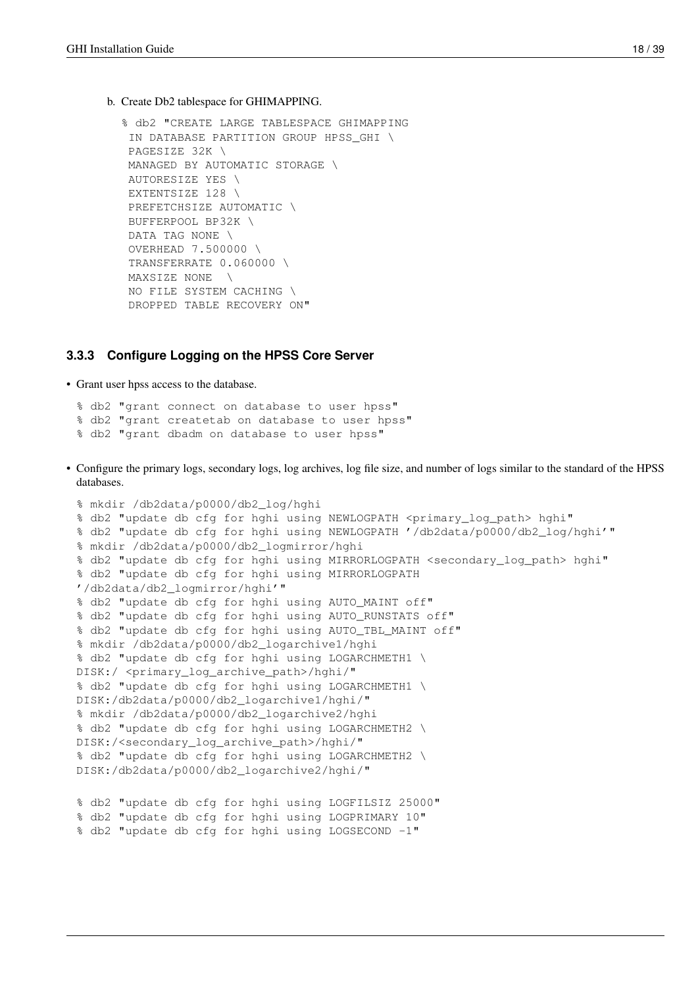b. Create Db2 tablespace for GHIMAPPING.

```
% db2 "CREATE LARGE TABLESPACE GHIMAPPING
IN DATABASE PARTITION GROUP HPSS_GHI \
PAGESIZE 32K \
MANAGED BY AUTOMATIC STORAGE \
AUTORESIZE YES \
EXTENTSIZE 128 \
PREFETCHSIZE AUTOMATIC \
BUFFERPOOL BP32K \
DATA TAG NONE \
OVERHEAD 7.500000 \
TRANSFERRATE 0.060000 \
MAXSIZE NONE \
NO FILE SYSTEM CACHING \
DROPPED TABLE RECOVERY ON"
```
### <span id="page-23-0"></span>**3.3.3 Configure Logging on the HPSS Core Server**

• Grant user hpss access to the database.

% db2 "grant connect on database to user hpss" % db2 "grant createtab on database to user hpss" % db2 "grant dbadm on database to user hpss"

• Configure the primary logs, secondary logs, log archives, log file size, and number of logs similar to the standard of the HPSS databases.

```
% mkdir /db2data/p0000/db2_log/hghi
% db2 "update db cfg for hghi using NEWLOGPATH <primary_log_path> hghi"
% db2 "update db cfg for hghi using NEWLOGPATH '/db2data/p0000/db2_log/hghi'"
% mkdir /db2data/p0000/db2_logmirror/hghi
% db2 "update db cfg for hghi using MIRRORLOGPATH <secondary_log_path> hghi"
% db2 "update db cfg for hghi using MIRRORLOGPATH
'/db2data/db2_logmirror/hghi'"
% db2 "update db cfg for hghi using AUTO_MAINT off"
% db2 "update db cfg for hghi using AUTO_RUNSTATS off"
% db2 "update db cfg for hghi using AUTO_TBL_MAINT off"
% mkdir /db2data/p0000/db2_logarchive1/hghi
% db2 "update db cfg for hghi using LOGARCHMETH1 \
DISK:/ <primary_log_archive_path>/hghi/"
% db2 "update db cfg for hghi using LOGARCHMETH1 \
DISK:/db2data/p0000/db2_logarchive1/hghi/"
% mkdir /db2data/p0000/db2_logarchive2/hghi
% db2 "update db cfg for hghi using LOGARCHMETH2 \
DISK:/<secondary_log_archive_path>/hghi/"
% db2 "update db cfg for hghi using LOGARCHMETH2 \
DISK:/db2data/p0000/db2_logarchive2/hghi/"
% db2 "update db cfg for hghi using LOGFILSIZ 25000"
```

```
% db2 "update db cfg for hghi using LOGPRIMARY 10"
% db2 "update db cfg for hghi using LOGSECOND -1"
```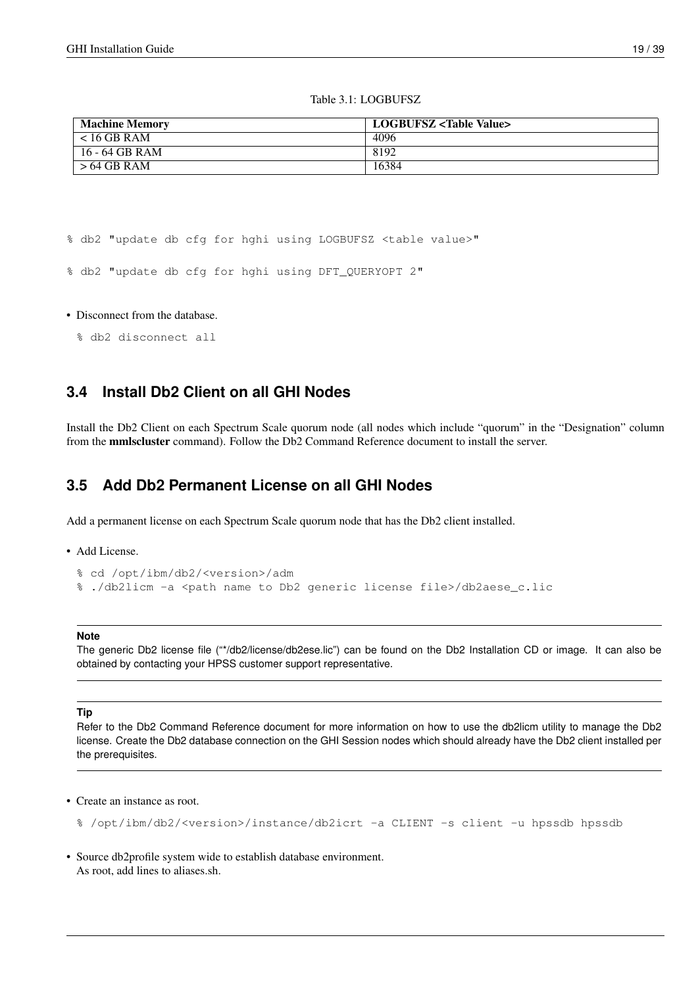### Table 3.1: LOGBUFSZ

| <b>Machine Memory</b> | LOGBUFSZ <table value=""></table> |
|-----------------------|-----------------------------------|
| $< 16$ GB RAM         | 4096                              |
| 16 - 64 GB RAM        | 8192                              |
| $>64$ GB RAM          | 16384                             |

% db2 "update db cfg for hghi using LOGBUFSZ <table value>"

% db2 "update db cfg for hghi using DFT\_QUERYOPT 2"

### • Disconnect from the database.

```
% db2 disconnect all
```
# <span id="page-24-0"></span>**3.4 Install Db2 Client on all GHI Nodes**

Install the Db2 Client on each Spectrum Scale quorum node (all nodes which include "quorum" in the "Designation" column from the mmlscluster command). Follow the Db2 Command Reference document to install the server.

## <span id="page-24-1"></span>**3.5 Add Db2 Permanent License on all GHI Nodes**

Add a permanent license on each Spectrum Scale quorum node that has the Db2 client installed.

• Add License.

```
% cd /opt/ibm/db2/<version>/adm
%./db2licm -a <path name to Db2 generic license file>/db2aese_c.lic
```
### **Note**

The generic Db2 license file ("\*/db2/license/db2ese.lic") can be found on the Db2 Installation CD or image. It can also be obtained by contacting your HPSS customer support representative.

### **Tip**

Refer to the Db2 Command Reference document for more information on how to use the db2licm utility to manage the Db2 license. Create the Db2 database connection on the GHI Session nodes which should already have the Db2 client installed per the prerequisites.

• Create an instance as root.

% /opt/ibm/db2/<version>/instance/db2icrt -a CLIENT -s client -u hpssdb hpssdb

• Source db2profile system wide to establish database environment. As root, add lines to aliases.sh.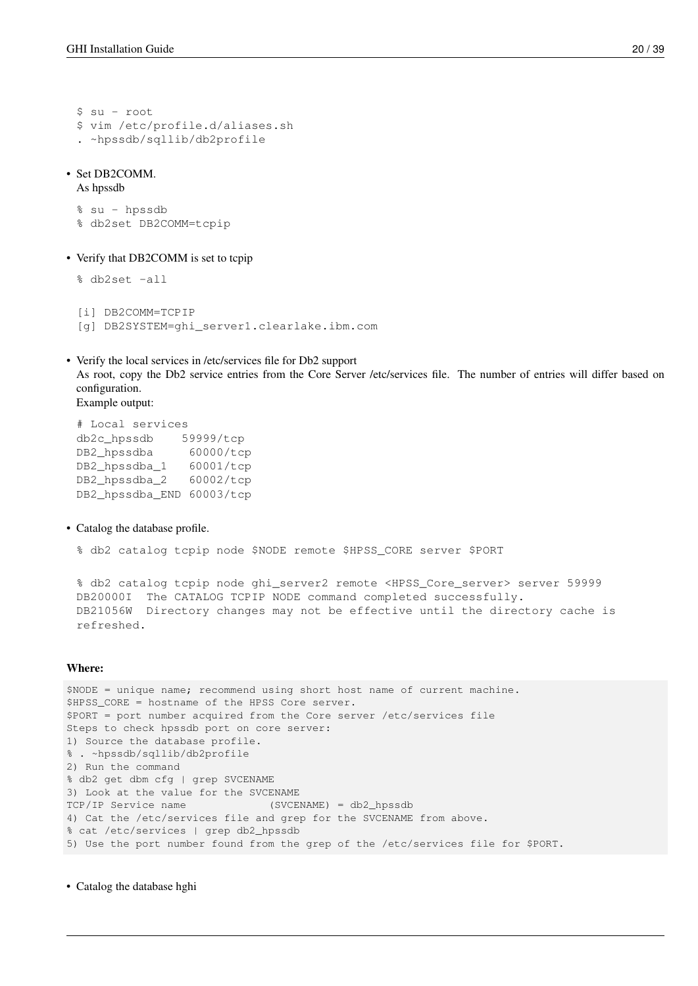```
$ su - root
$ vim /etc/profile.d/aliases.sh
. ~hpssdb/sqllib/db2profile
```
### • Set DB2COMM.

% db2set -all

As hpssdb

% su - hpssdb % db2set DB2COMM=tcpip

• Verify that DB2COMM is set to tcpip

```
[i] DB2COMM=TCPIP
[g] DB2SYSTEM=ghi_server1.clearlake.ibm.com
```
• Verify the local services in /etc/services file for Db2 support As root, copy the Db2 service entries from the Core Server /etc/services file. The number of entries will differ based on configuration. Example output:

# Local services db2c\_hpssdb 59999/tcp DB2\_hpssdba 60000/tcp DB2\_hpssdba\_1 60001/tcp DB2\_hpssdba\_2 60002/tcp DB2\_hpssdba\_END 60003/tcp

• Catalog the database profile.

% db2 catalog tcpip node \$NODE remote \$HPSS\_CORE server \$PORT

% db2 catalog tcpip node ghi\_server2 remote <HPSS\_Core\_server> server 59999 DB20000I The CATALOG TCPIP NODE command completed successfully. DB21056W Directory changes may not be effective until the directory cache is refreshed.

### Where:

\$NODE = unique name; recommend using short host name of current machine. \$HPSS\_CORE = hostname of the HPSS Core server. \$PORT = port number acquired from the Core server /etc/services file Steps to check hpssdb port on core server: 1) Source the database profile. % . ~hpssdb/sqllib/db2profile 2) Run the command % db2 get dbm cfg | grep SVCENAME 3) Look at the value for the SVCENAME TCP/IP Service name (SVCENAME) = db2\_hpssdb 4) Cat the /etc/services file and grep for the SVCENAME from above. % cat /etc/services | grep db2\_hpssdb 5) Use the port number found from the grep of the /etc/services file for \$PORT.

• Catalog the database hghi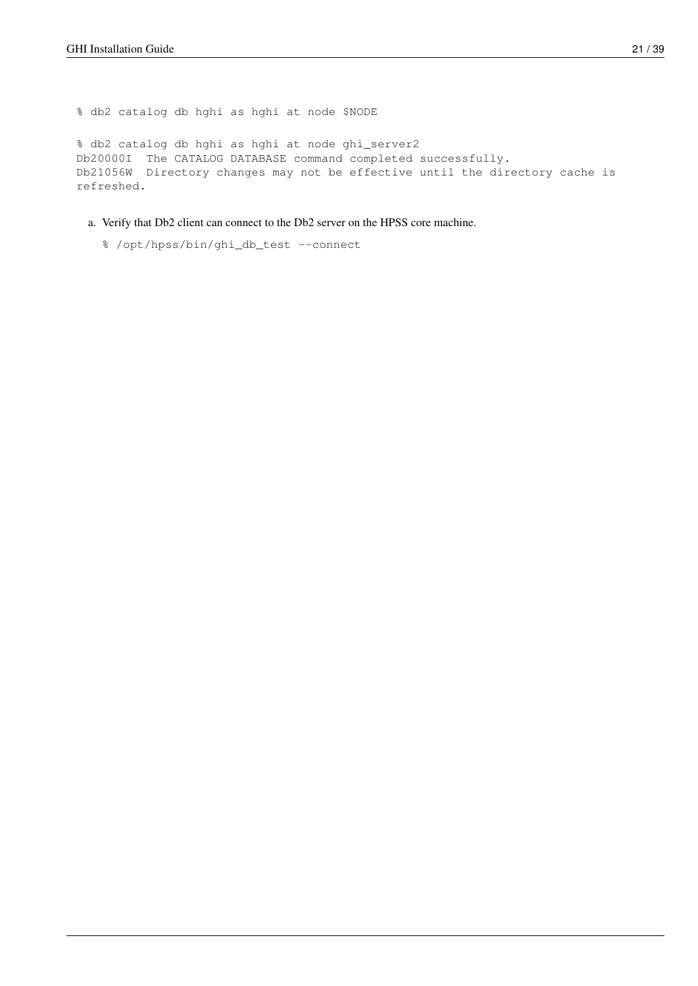% db2 catalog db hghi as hghi at node \$NODE

% db2 catalog db hghi as hghi at node ghi\_server2 Db20000I The CATALOG DATABASE command completed successfully. Db21056W Directory changes may not be effective until the directory cache is refreshed.

- a. Verify that Db2 client can connect to the Db2 server on the HPSS core machine.
	- % /opt/hpss/bin/ghi\_db\_test --connect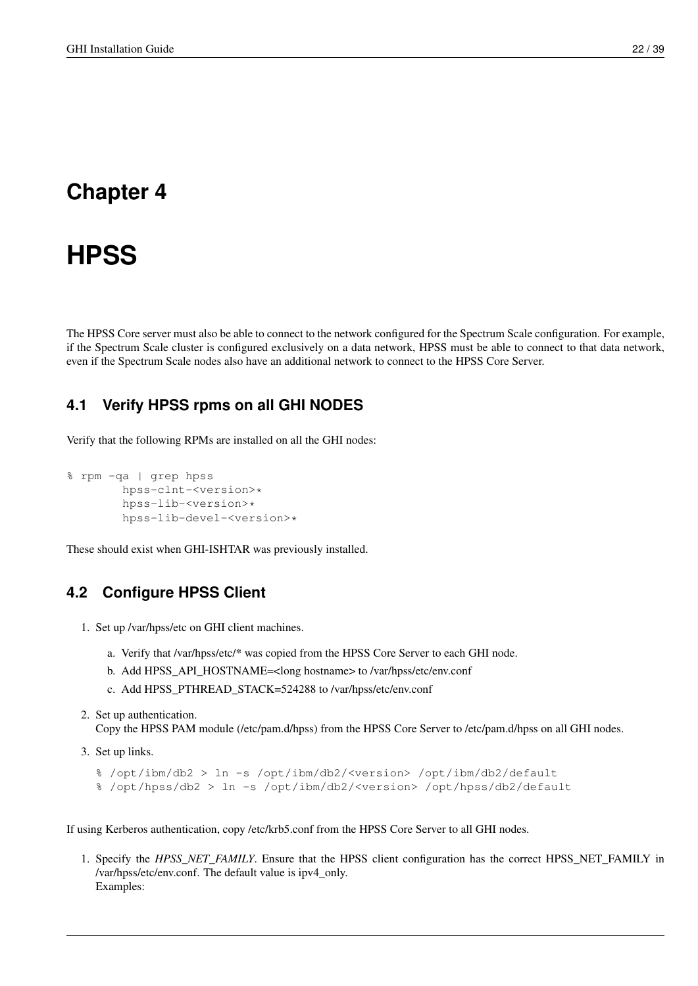# <span id="page-27-0"></span>**Chapter 4**

# **HPSS**

The HPSS Core server must also be able to connect to the network configured for the Spectrum Scale configuration. For example, if the Spectrum Scale cluster is configured exclusively on a data network, HPSS must be able to connect to that data network, even if the Spectrum Scale nodes also have an additional network to connect to the HPSS Core Server.

# <span id="page-27-1"></span>**4.1 Verify HPSS rpms on all GHI NODES**

Verify that the following RPMs are installed on all the GHI nodes:

```
% rpm -qa | grep hpss
        hpss-clnt-<version>*
        hpss-lib-<version>*
        hpss-lib-devel-<version>*
```
These should exist when GHI-ISHTAR was previously installed.

## <span id="page-27-2"></span>**4.2 Configure HPSS Client**

- 1. Set up /var/hpss/etc on GHI client machines.
	- a. Verify that /var/hpss/etc/\* was copied from the HPSS Core Server to each GHI node.
	- b. Add HPSS\_API\_HOSTNAME=<long hostname> to /var/hpss/etc/env.conf
	- c. Add HPSS\_PTHREAD\_STACK=524288 to /var/hpss/etc/env.conf
- 2. Set up authentication. Copy the HPSS PAM module (/etc/pam.d/hpss) from the HPSS Core Server to /etc/pam.d/hpss on all GHI nodes.
- 3. Set up links.

```
% /opt/ibm/db2 > ln -s /opt/ibm/db2/<version> /opt/ibm/db2/default
% /opt/hpss/db2 > ln -s /opt/ibm/db2/<version> /opt/hpss/db2/default
```
If using Kerberos authentication, copy /etc/krb5.conf from the HPSS Core Server to all GHI nodes.

1. Specify the *HPSS\_NET\_FAMILY*. Ensure that the HPSS client configuration has the correct HPSS\_NET\_FAMILY in /var/hpss/etc/env.conf. The default value is ipv4\_only. Examples: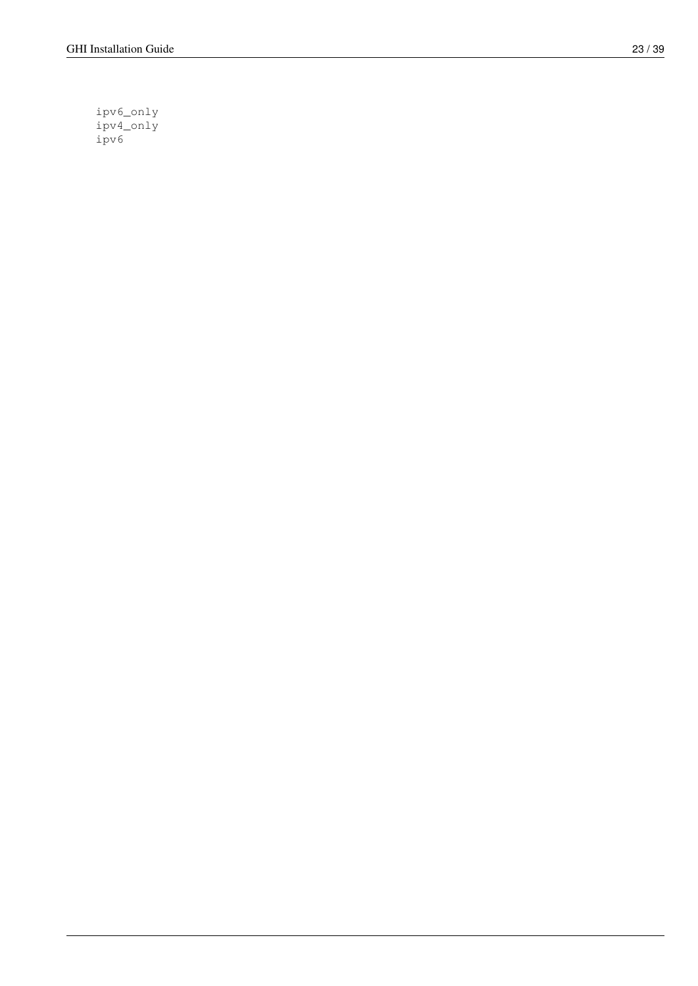ipv6\_only ipv4\_only ipv6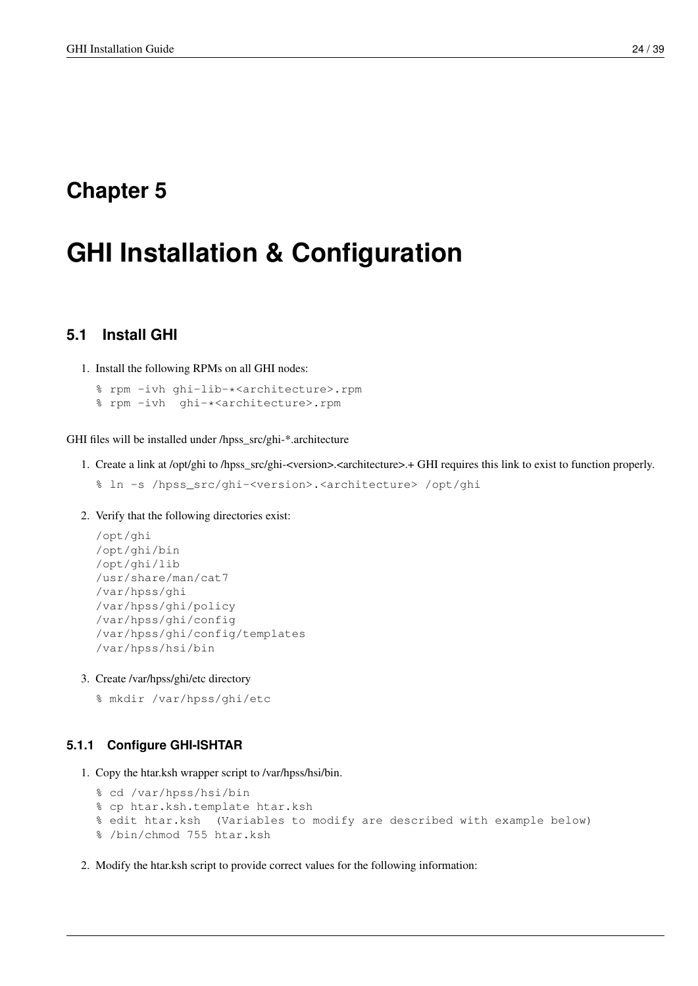# <span id="page-29-0"></span>**Chapter 5**

# **GHI Installation & Configuration**

# <span id="page-29-1"></span>**5.1 Install GHI**

1. Install the following RPMs on all GHI nodes:

% rpm -ivh ghi-lib-\*<architecture>.rpm % rpm -ivh ghi-\*<architecture>.rpm

GHI files will be installed under /hpss\_src/ghi-\*.architecture

1. Create a link at /opt/ghi to /hpss\_src/ghi-<version>.<architecture>.+ GHI requires this link to exist to function properly.

```
% ln -s /hpss_src/ghi-<version>.<architecture> /opt/ghi
```
2. Verify that the following directories exist:

```
/opt/ghi
/opt/ghi/bin
/opt/ghi/lib
/usr/share/man/cat7
/var/hpss/ghi
/var/hpss/ghi/policy
/var/hpss/ghi/config
/var/hpss/ghi/config/templates
/var/hpss/hsi/bin
```
3. Create /var/hpss/ghi/etc directory

% mkdir /var/hpss/ghi/etc

### <span id="page-29-2"></span>**5.1.1 Configure GHI-ISHTAR**

1. Copy the htar.ksh wrapper script to /var/hpss/hsi/bin.

```
% cd /var/hpss/hsi/bin
% cp htar.ksh.template htar.ksh
% edit htar.ksh (Variables to modify are described with example below)
% /bin/chmod 755 htar.ksh
```
2. Modify the htar.ksh script to provide correct values for the following information: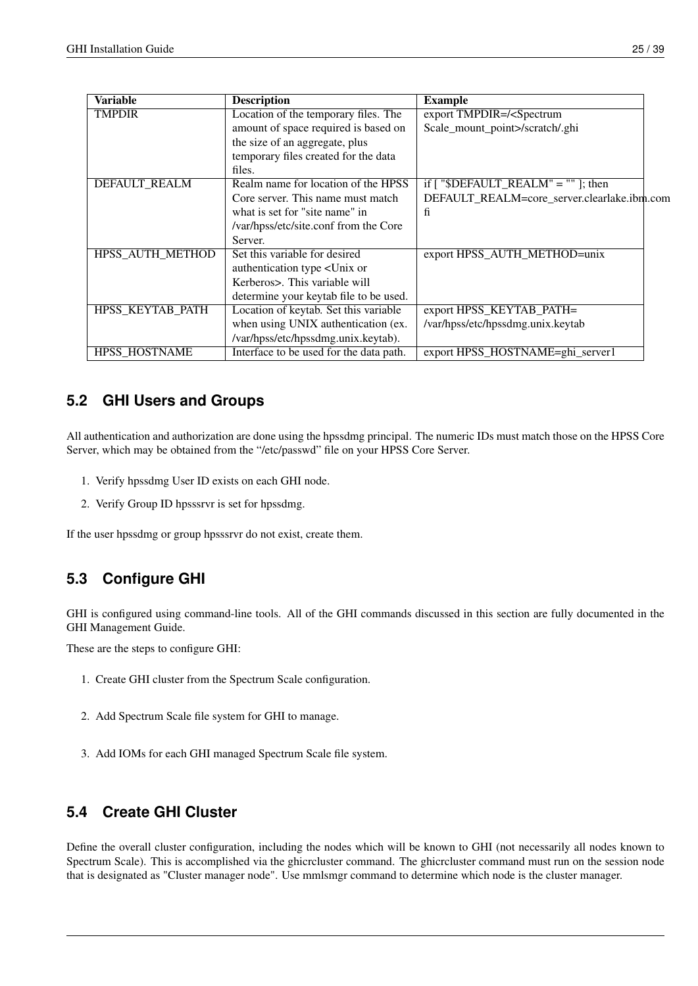| Variable                | <b>Description</b>                                      | <b>Example</b>                                |
|-------------------------|---------------------------------------------------------|-----------------------------------------------|
| <b>TMPDIR</b>           | Location of the temporary files. The                    | export TMPDIR=/ <spectrum< td=""></spectrum<> |
|                         | amount of space required is based on                    | Scale_mount_point>/scratch/.ghi               |
|                         | the size of an aggregate, plus                          |                                               |
|                         | temporary files created for the data                    |                                               |
|                         | files.                                                  |                                               |
| <b>DEFAULT_REALM</b>    | Realm name for location of the HPSS                     | if $\lceil$ "\$DEFAULT_REALM" = "" ]; then    |
|                         | Core server. This name must match                       | DEFAULT_REALM=core_server.clearlake.ibm.com   |
|                         | what is set for "site name" in                          | fi                                            |
|                         | /var/hpss/etc/site.conf from the Core                   |                                               |
|                         | Server.                                                 |                                               |
| <b>HPSS_AUTH_METHOD</b> | Set this variable for desired                           | export HPSS_AUTH_METHOD=unix                  |
|                         | authentication type <unix or<="" td=""><td></td></unix> |                                               |
|                         | Kerberos>. This variable will                           |                                               |
|                         | determine your keytab file to be used.                  |                                               |
| HPSS KEYTAB PATH        | Location of keytab. Set this variable                   | export HPSS_KEYTAB_PATH=                      |
|                         | when using UNIX authentication (ex.                     | /var/hpss/etc/hpssdmg.unix.keytab             |
|                         | /var/hpss/etc/hpssdmg.unix.keytab).                     |                                               |
| <b>HPSS HOSTNAME</b>    | Interface to be used for the data path.                 | export HPSS_HOSTNAME=ghi_server1              |

# <span id="page-30-0"></span>**5.2 GHI Users and Groups**

All authentication and authorization are done using the hpssdmg principal. The numeric IDs must match those on the HPSS Core Server, which may be obtained from the "/etc/passwd" file on your HPSS Core Server.

- 1. Verify hpssdmg User ID exists on each GHI node.
- 2. Verify Group ID hpsssrvr is set for hpssdmg.

If the user hpssdmg or group hpsssrvr do not exist, create them.

# <span id="page-30-1"></span>**5.3 Configure GHI**

GHI is configured using command-line tools. All of the GHI commands discussed in this section are fully documented in the GHI Management Guide.

These are the steps to configure GHI:

- 1. Create GHI cluster from the Spectrum Scale configuration.
- 2. Add Spectrum Scale file system for GHI to manage.
- 3. Add IOMs for each GHI managed Spectrum Scale file system.

# <span id="page-30-2"></span>**5.4 Create GHI Cluster**

Define the overall cluster configuration, including the nodes which will be known to GHI (not necessarily all nodes known to Spectrum Scale). This is accomplished via the ghicrcluster command. The ghicrcluster command must run on the session node that is designated as "Cluster manager node". Use mmlsmgr command to determine which node is the cluster manager.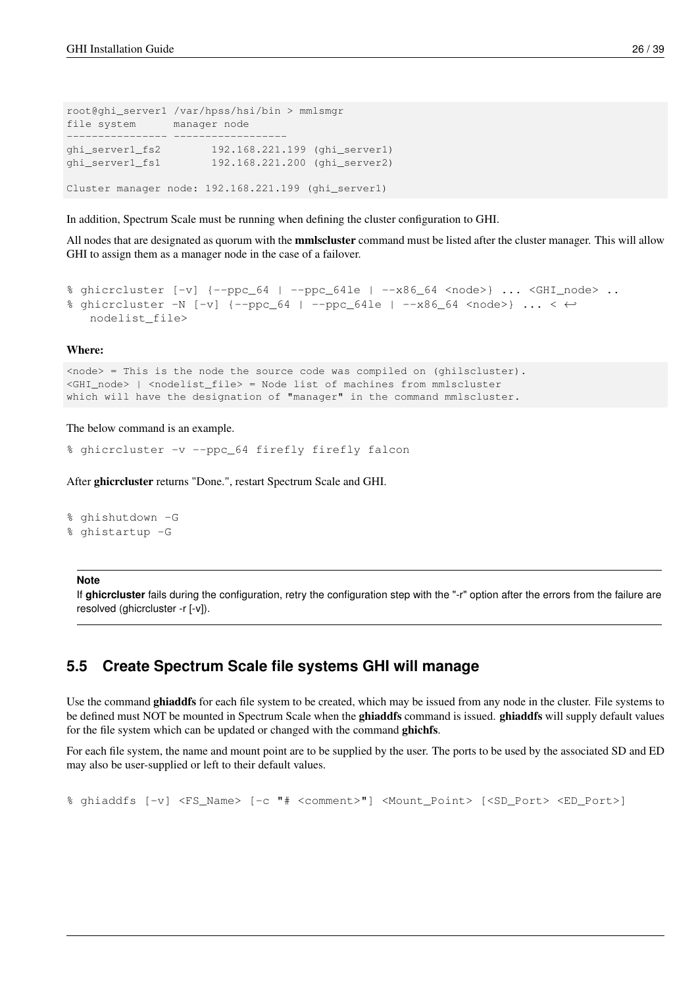```
root@ghi_server1 /var/hpss/hsi/bin > mmlsmgr
file system manager node
---------------- ------------------
ghi_server1_fs2 192.168.221.199 (ghi_server1)
ghi_server1_fs1 192.168.221.200 (ghi_server2)
Cluster manager node: 192.168.221.199 (ghi_server1)
```
In addition, Spectrum Scale must be running when defining the cluster configuration to GHI.

All nodes that are designated as quorum with the **mmlscluster** command must be listed after the cluster manager. This will allow GHI to assign them as a manager node in the case of a failover.

```
% ghicrcluster [-v] {--ppc_64 | --ppc_64le | --x86_64 <node>} ... <GHI_node> ..
% ghicrcluster -N [-v] \{-ppc 64 | -ppc 64le | -x86 64 <node>} ... < \leftrightarrownodelist_file>
```
#### Where:

```
\langle \text{node} \rangle = This is the node the source code was compiled on (ghilscluster).
<GHI_node> | <nodelist_file> = Node list of machines from mmlscluster
which will have the designation of "manager" in the command mmlscluster.
```
### The below command is an example.

% ghicrcluster -v --ppc\_64 firefly firefly falcon

After ghicrcluster returns "Done.", restart Spectrum Scale and GHI.

% ghishutdown -G % ghistartup -G

### **Note**

If **ghicrcluster** fails during the configuration, retry the configuration step with the "-r" option after the errors from the failure are resolved (ghicrcluster -r [-v]).

## <span id="page-31-0"></span>**5.5 Create Spectrum Scale file systems GHI will manage**

Use the command ghiaddfs for each file system to be created, which may be issued from any node in the cluster. File systems to be defined must NOT be mounted in Spectrum Scale when the ghiaddfs command is issued. ghiaddfs will supply default values for the file system which can be updated or changed with the command ghichfs.

For each file system, the name and mount point are to be supplied by the user. The ports to be used by the associated SD and ED may also be user-supplied or left to their default values.

% ghiaddfs [-v] <FS\_Name> [-c "# <comment>"] <Mount\_Point> [<SD\_Port> <ED\_Port>]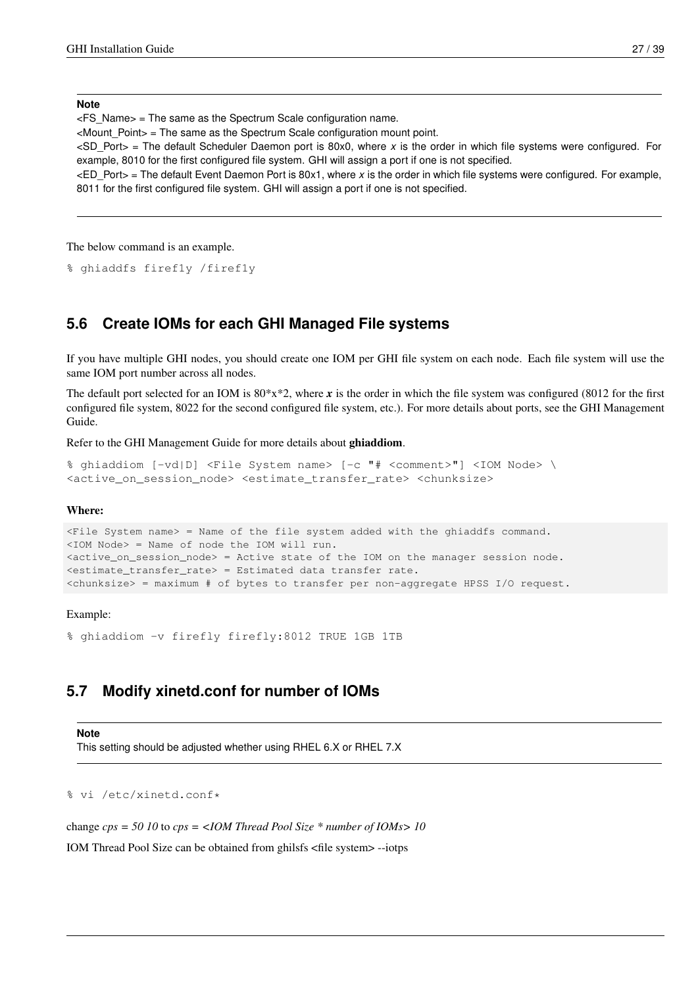**Note**

 $\epsilon$ FS Name $>$  = The same as the Spectrum Scale configuration name.

<Mount\_Point> = The same as the Spectrum Scale configuration mount point.

<SD\_Port> = The default Scheduler Daemon port is 80x0, where *x* is the order in which file systems were configured. For example, 8010 for the first configured file system. GHI will assign a port if one is not specified.

<ED\_Port> = The default Event Daemon Port is 80x1, where *x* is the order in which file systems were configured. For example, 8011 for the first configured file system. GHI will assign a port if one is not specified.

The below command is an example.

% ghiaddfs firef1y /firef1y

### <span id="page-32-0"></span>**5.6 Create IOMs for each GHI Managed File systems**

If you have multiple GHI nodes, you should create one IOM per GHI file system on each node. Each file system will use the same IOM port number across all nodes.

The default port selected for an IOM is  $80*x*2$ , where x is the order in which the file system was configured (8012 for the first configured file system, 8022 for the second configured file system, etc.). For more details about ports, see the GHI Management Guide.

Refer to the GHI Management Guide for more details about ghiaddiom.

```
% ghiaddiom [-vd|D] <File System name> [-c "# <comment>"] <IOM Node> \
<active_on_session_node> <estimate_transfer_rate> <chunksize>
```
### Where:

```
<File System name> = Name of the file system added with the ghiaddfs command.
<IOM Node> = Name of node the IOM will run.
<active_on_session_node> = Active state of the IOM on the manager session node.
<estimate_transfer_rate> = Estimated data transfer rate.
<chunksize> = maximum # of bytes to transfer per non-aggregate HPSS I/O request.
```
### Example:

% ghiaddiom -v firefly firefly:8012 TRUE 1GB 1TB

### <span id="page-32-1"></span>**5.7 Modify xinetd.conf for number of IOMs**

#### **Note**

This setting should be adjusted whether using RHEL 6.X or RHEL 7.X

% vi /etc/xinetd.conf\*

change *cps = 50 10* to *cps = <IOM Thread Pool Size \* number of IOMs> 10*

IOM Thread Pool Size can be obtained from ghilsfs <file system> --iotps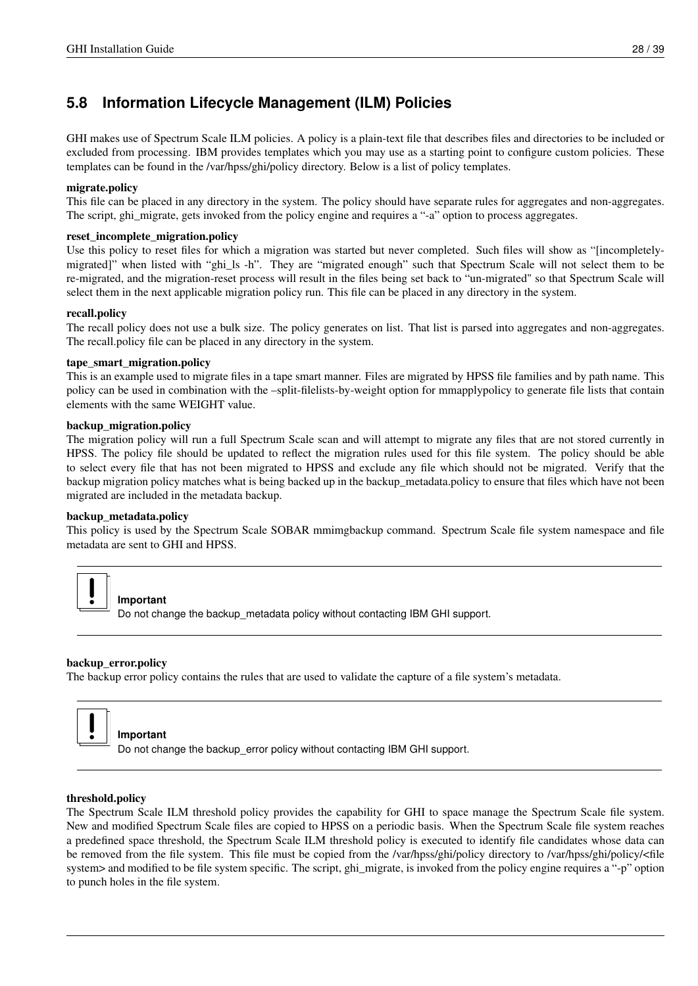# <span id="page-33-0"></span>**5.8 Information Lifecycle Management (ILM) Policies**

GHI makes use of Spectrum Scale ILM policies. A policy is a plain-text file that describes files and directories to be included or excluded from processing. IBM provides templates which you may use as a starting point to configure custom policies. These templates can be found in the /var/hpss/ghi/policy directory. Below is a list of policy templates.

### migrate.policy

This file can be placed in any directory in the system. The policy should have separate rules for aggregates and non-aggregates. The script, ghi\_migrate, gets invoked from the policy engine and requires a "-a" option to process aggregates.

### reset\_incomplete\_migration.policy

Use this policy to reset files for which a migration was started but never completed. Such files will show as "[incompletelymigrated]" when listed with "ghi\_ls -h". They are "migrated enough" such that Spectrum Scale will not select them to be re-migrated, and the migration-reset process will result in the files being set back to "un-migrated" so that Spectrum Scale will select them in the next applicable migration policy run. This file can be placed in any directory in the system.

### recall.policy

The recall policy does not use a bulk size. The policy generates on list. That list is parsed into aggregates and non-aggregates. The recall.policy file can be placed in any directory in the system.

### tape\_smart\_migration.policy

This is an example used to migrate files in a tape smart manner. Files are migrated by HPSS file families and by path name. This policy can be used in combination with the –split-filelists-by-weight option for mmapplypolicy to generate file lists that contain elements with the same WEIGHT value.

### backup\_migration.policy

The migration policy will run a full Spectrum Scale scan and will attempt to migrate any files that are not stored currently in HPSS. The policy file should be updated to reflect the migration rules used for this file system. The policy should be able to select every file that has not been migrated to HPSS and exclude any file which should not be migrated. Verify that the backup migration policy matches what is being backed up in the backup\_metadata.policy to ensure that files which have not been migrated are included in the metadata backup.

### backup\_metadata.policy

This policy is used by the Spectrum Scale SOBAR mmimgbackup command. Spectrum Scale file system namespace and file metadata are sent to GHI and HPSS.



**Important**

Do not change the backup metadata policy without contacting IBM GHI support.

### backup\_error.policy

The backup error policy contains the rules that are used to validate the capture of a file system's metadata.



### **Important**

Do not change the backup error policy without contacting IBM GHI support.

### threshold.policy

The Spectrum Scale ILM threshold policy provides the capability for GHI to space manage the Spectrum Scale file system. New and modified Spectrum Scale files are copied to HPSS on a periodic basis. When the Spectrum Scale file system reaches a predefined space threshold, the Spectrum Scale ILM threshold policy is executed to identify file candidates whose data can be removed from the file system. This file must be copied from the /var/hpss/ghi/policy directory to /var/hpss/ghi/policy/<file system> and modified to be file system specific. The script, ghi\_migrate, is invoked from the policy engine requires a "-p" option to punch holes in the file system.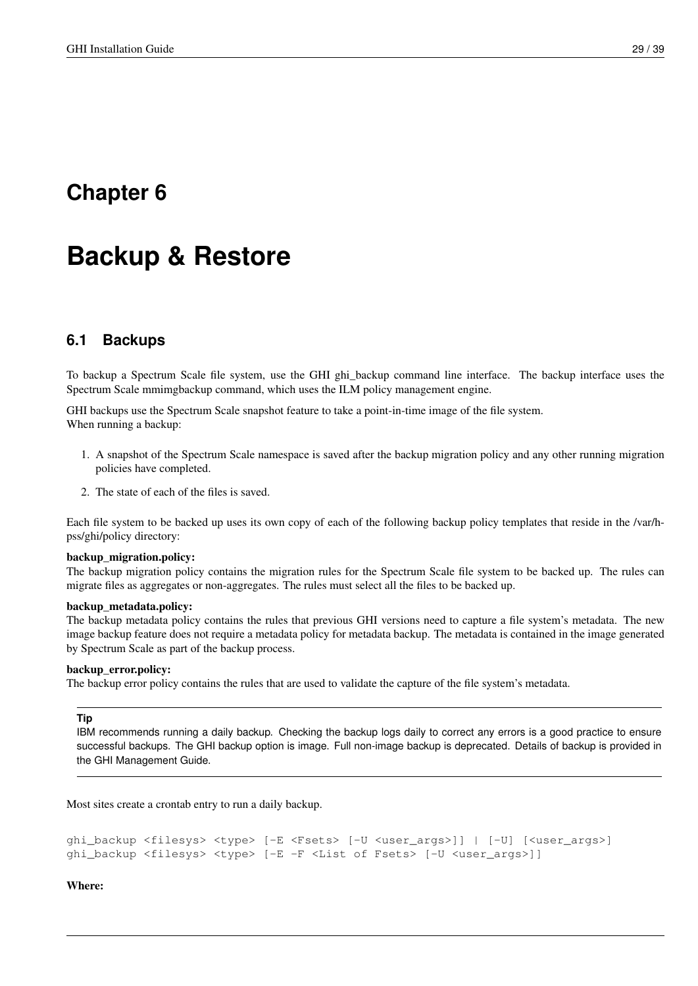# <span id="page-34-0"></span>**Chapter 6**

# **Backup & Restore**

# <span id="page-34-1"></span>**6.1 Backups**

To backup a Spectrum Scale file system, use the GHI ghi\_backup command line interface. The backup interface uses the Spectrum Scale mmimgbackup command, which uses the ILM policy management engine.

GHI backups use the Spectrum Scale snapshot feature to take a point-in-time image of the file system. When running a backup:

- 1. A snapshot of the Spectrum Scale namespace is saved after the backup migration policy and any other running migration policies have completed.
- 2. The state of each of the files is saved.

Each file system to be backed up uses its own copy of each of the following backup policy templates that reside in the /var/hpss/ghi/policy directory:

### backup\_migration.policy:

The backup migration policy contains the migration rules for the Spectrum Scale file system to be backed up. The rules can migrate files as aggregates or non-aggregates. The rules must select all the files to be backed up.

### backup\_metadata.policy:

The backup metadata policy contains the rules that previous GHI versions need to capture a file system's metadata. The new image backup feature does not require a metadata policy for metadata backup. The metadata is contained in the image generated by Spectrum Scale as part of the backup process.

### backup\_error.policy:

The backup error policy contains the rules that are used to validate the capture of the file system's metadata.

### **Tip**

IBM recommends running a daily backup. Checking the backup logs daily to correct any errors is a good practice to ensure successful backups. The GHI backup option is image. Full non-image backup is deprecated. Details of backup is provided in the GHI Management Guide.

Most sites create a crontab entry to run a daily backup.

```
ghi_backup <filesys> <type> [-E <Fsets> [-U <user_args>]] | [-U] [<user_args>]
ghi_backup <filesys> <type> [-E -F <List of Fsets> [-U <user_args>]]
```
Where: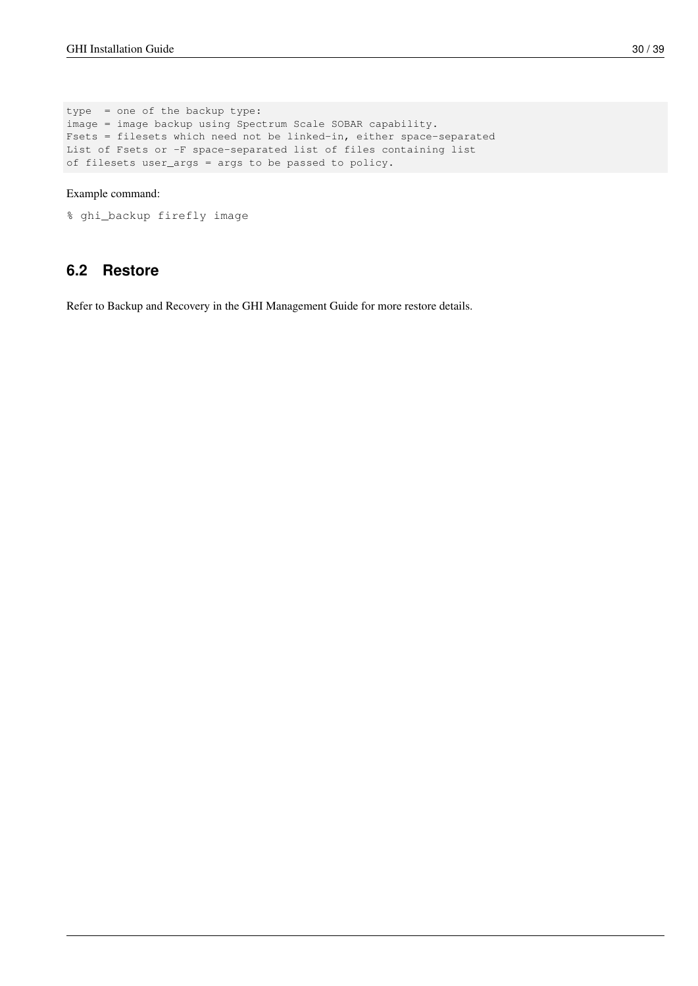type = one of the backup type: image = image backup using Spectrum Scale SOBAR capability. Fsets = filesets which need not be linked-in, either space-separated List of Fsets or -F space-separated list of files containing list of filesets user\_args = args to be passed to policy.

### Example command:

```
% ghi_backup firefly image
```
## <span id="page-35-0"></span>**6.2 Restore**

Refer to Backup and Recovery in the GHI Management Guide for more restore details.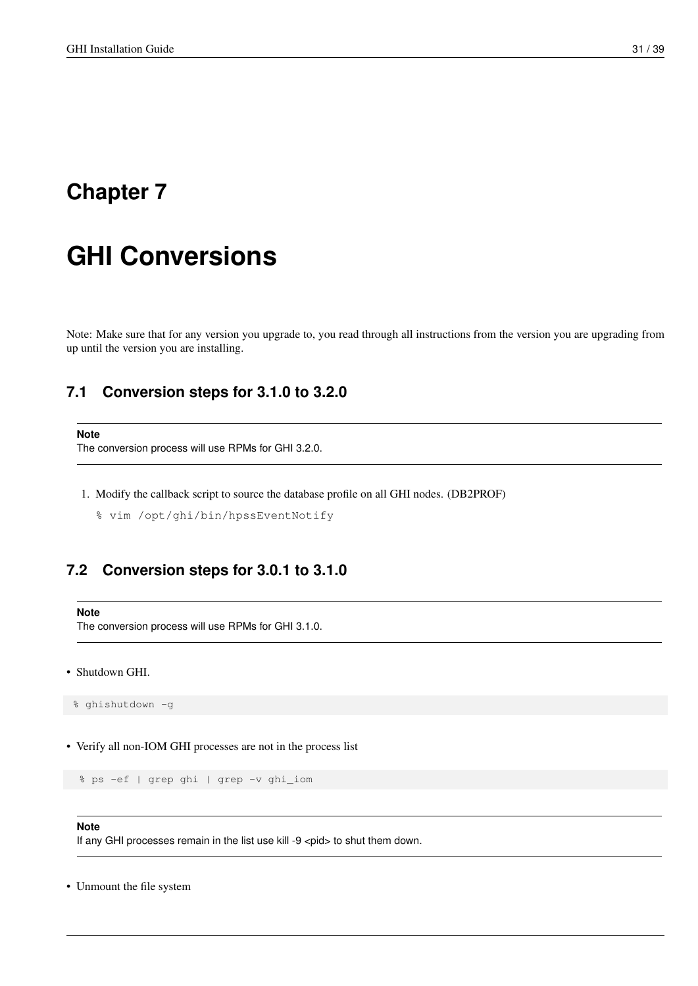# <span id="page-36-0"></span>**Chapter 7**

# **GHI Conversions**

Note: Make sure that for any version you upgrade to, you read through all instructions from the version you are upgrading from up until the version you are installing.

### <span id="page-36-1"></span>**7.1 Conversion steps for 3.1.0 to 3.2.0**

```
Note
```
The conversion process will use RPMs for GHI 3.2.0.

- 1. Modify the callback script to source the database profile on all GHI nodes. (DB2PROF)
	- % vim /opt/ghi/bin/hpssEventNotify

### <span id="page-36-2"></span>**7.2 Conversion steps for 3.0.1 to 3.1.0**

```
Note
```
The conversion process will use RPMs for GHI 3.1.0.

• Shutdown GHI.

% ghishutdown -g

• Verify all non-IOM GHI processes are not in the process list

```
% ps -ef | grep ghi | grep -v ghi_iom
```
### **Note**

If any GHI processes remain in the list use kill -9 <pid> to shut them down.

• Unmount the file system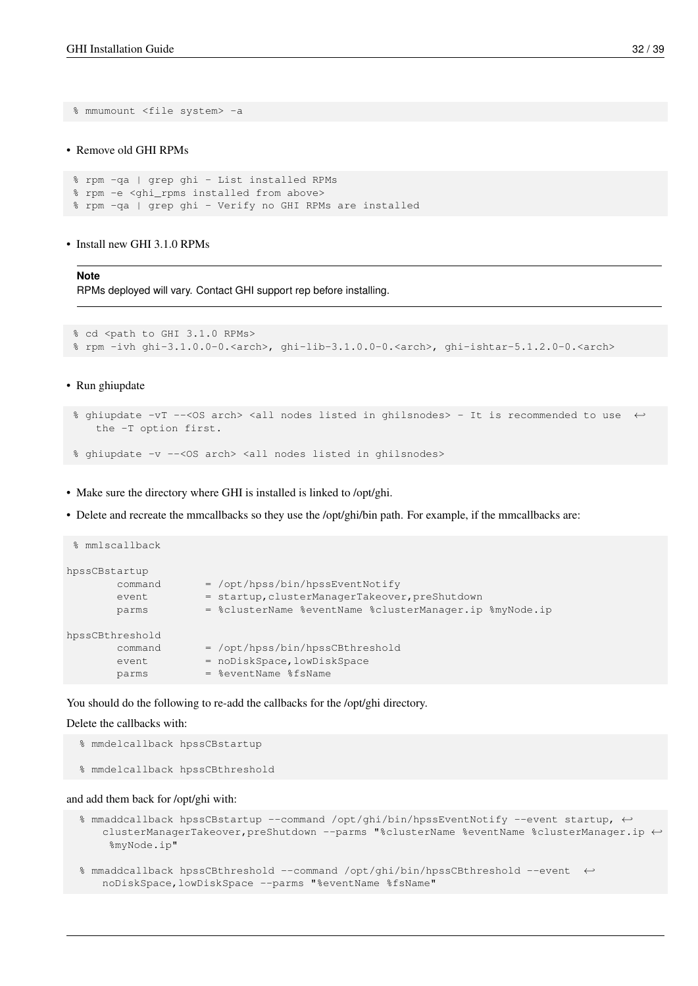% mmumount <file system> -a

### • Remove old GHI RPMs

```
% rpm -qa | grep ghi - List installed RPMs
% rpm -e <ghi_rpms installed from above>
% rpm -qa | grep ghi - Verify no GHI RPMs are installed
```
• Install new GHI 3.1.0 RPMs

#### **Note**

RPMs deployed will vary. Contact GHI support rep before installing.

```
% cd <path to GHI 3.1.0 RPMs>
% rpm -ivh ghi-3.1.0.0-0.<arch>, ghi-lib-3.1.0.0-0.<arch>, ghi-ishtar-5.1.2.0-0.<arch>
```
### • Run ghiupdate

```
% ghiupdate -vT --<OS arch> <all nodes listed in ghilsnodes> - It is recommended to use ←
   the -T option first.
```

```
% ghiupdate -v --< OS arch> <all nodes listed in ghilsnodes>
```
• Make sure the directory where GHI is installed is linked to /opt/ghi.

• Delete and recreate the mmcallbacks so they use the /opt/ghi/bin path. For example, if the mmcallbacks are:

```
% mmlscallback
hpssCBstartup
       command = /opt/hpss/bin/hpssEventNotify
       event = startup, clusterManagerTakeover, preShutdown
       parms = %clusterName %eventName %clusterManager.ip %myNode.ip
hpssCBthreshold
       command = /opt/hpss/bin/hpssCBthreshold
       event = noDiskSpace, lowDiskSpace
       parms = %eventName %fsName
```
You should do the following to re-add the callbacks for the /opt/ghi directory.

### Delete the callbacks with:

- % mmdelcallback hpssCBstartup
- % mmdelcallback hpssCBthreshold

#### and add them back for /opt/ghi with:

- % mmaddcallback hpssCBstartup --command /opt/ghi/bin/hpssEventNotify --event startup,  $\leftarrow$ clusterManagerTakeover,preShutdown --parms "%clusterName %eventName %clusterManager.ip ←- %myNode.ip"
- % mmaddcallback hpssCBthreshold --command /opt/ghi/bin/hpssCBthreshold --event ← noDiskSpace,lowDiskSpace --parms "%eventName %fsName"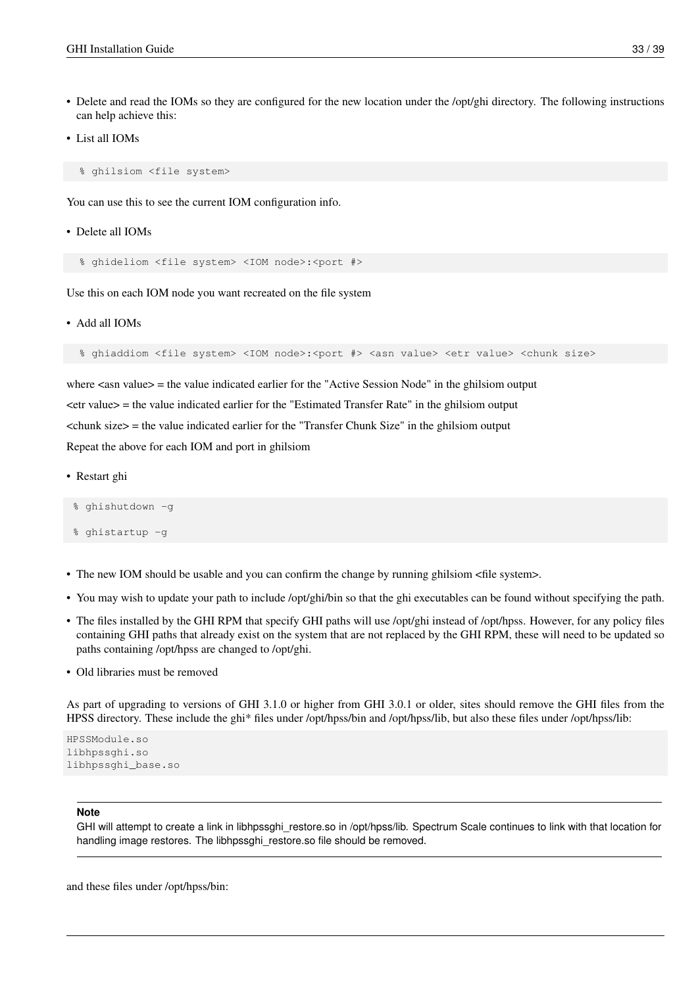- Delete and read the IOMs so they are configured for the new location under the /opt/ghi directory. The following instructions can help achieve this:
- List all IOMs

% ghilsiom <file system>

You can use this to see the current IOM configuration info.

• Delete all IOMs

% ghideliom <file system> <IOM node>:<port #>

Use this on each IOM node you want recreated on the file system

• Add all IOMs

% ghiaddiom <file system> <IOM node>:<port #> <asn value> <etr value> <chunk size>

where  $\langle$  asn value $\rangle$  = the value indicated earlier for the "Active Session Node" in the ghilsiom output <etr value> = the value indicated earlier for the "Estimated Transfer Rate" in the ghilsiom output  $\epsilon$ chunk size $\epsilon$  = the value indicated earlier for the "Transfer Chunk Size" in the ghilsiom output Repeat the above for each IOM and port in ghilsiom

• Restart ghi

% ghishutdown -g

- % ghistartup -g
- The new IOM should be usable and you can confirm the change by running ghilsiom <file system>.
- You may wish to update your path to include /opt/ghi/bin so that the ghi executables can be found without specifying the path.
- The files installed by the GHI RPM that specify GHI paths will use /opt/ghi instead of /opt/hpss. However, for any policy files containing GHI paths that already exist on the system that are not replaced by the GHI RPM, these will need to be updated so paths containing /opt/hpss are changed to /opt/ghi.
- Old libraries must be removed

As part of upgrading to versions of GHI 3.1.0 or higher from GHI 3.0.1 or older, sites should remove the GHI files from the HPSS directory. These include the ghi\* files under /opt/hpss/bin and /opt/hpss/lib, but also these files under /opt/hpss/lib:

```
HPSSModule.so
libhpssghi.so
libhpssghi_base.so
```
### **Note**

GHI will attempt to create a link in libhpssghi\_restore.so in /opt/hpss/lib. Spectrum Scale continues to link with that location for handling image restores. The libhpssghi\_restore.so file should be removed.

and these files under /opt/hpss/bin: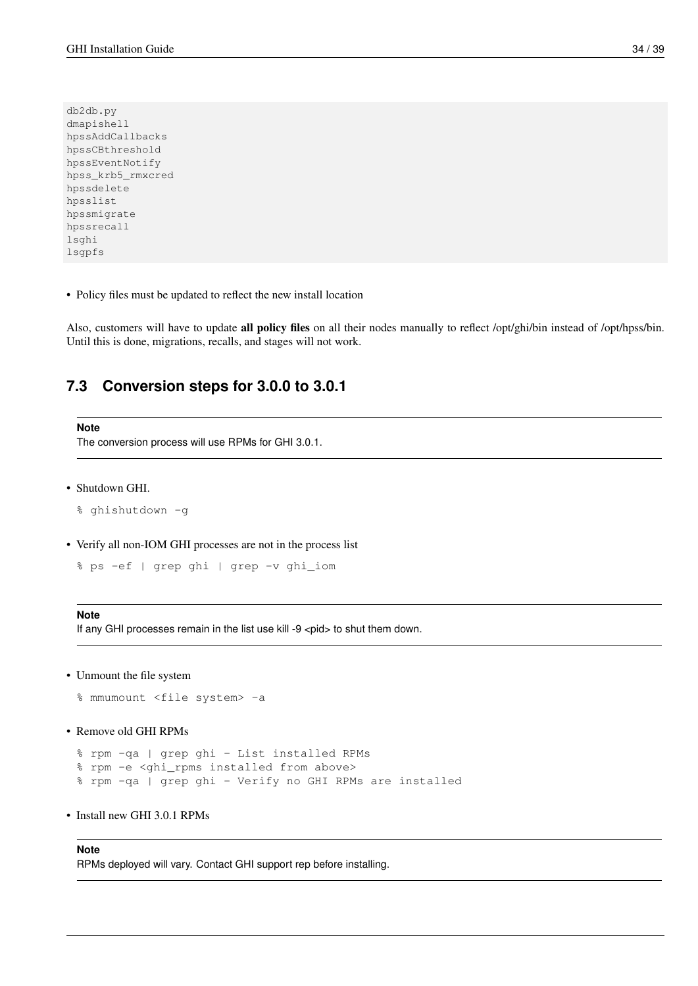db2db.py dmapishell hpssAddCallbacks hpssCBthreshold hpssEventNotify hpss\_krb5\_rmxcred hpssdelete hpsslist hpssmigrate hpssrecall lsghi lsgpfs

• Policy files must be updated to reflect the new install location

Also, customers will have to update all policy files on all their nodes manually to reflect /opt/ghi/bin instead of /opt/hpss/bin. Until this is done, migrations, recalls, and stages will not work.

### <span id="page-39-0"></span>**7.3 Conversion steps for 3.0.0 to 3.0.1**

**Note** The conversion process will use RPMs for GHI 3.0.1.

• Shutdown GHI.

```
% ghishutdown -g
```
• Verify all non-IOM GHI processes are not in the process list

```
% ps -ef | grep ghi | grep -v ghi_iom
```
### **Note**

If any GHI processes remain in the list use kill -9 <pid> to shut them down.

• Unmount the file system

```
% mmumount <file system> -a
```

```
• Remove old GHI RPMs
```

```
% rpm -qa | grep ghi - List installed RPMs
% rpm -e <ghi_rpms installed from above>
% rpm -qa | grep ghi - Verify no GHI RPMs are installed
```
• Install new GHI 3.0.1 RPMs

### **Note**

RPMs deployed will vary. Contact GHI support rep before installing.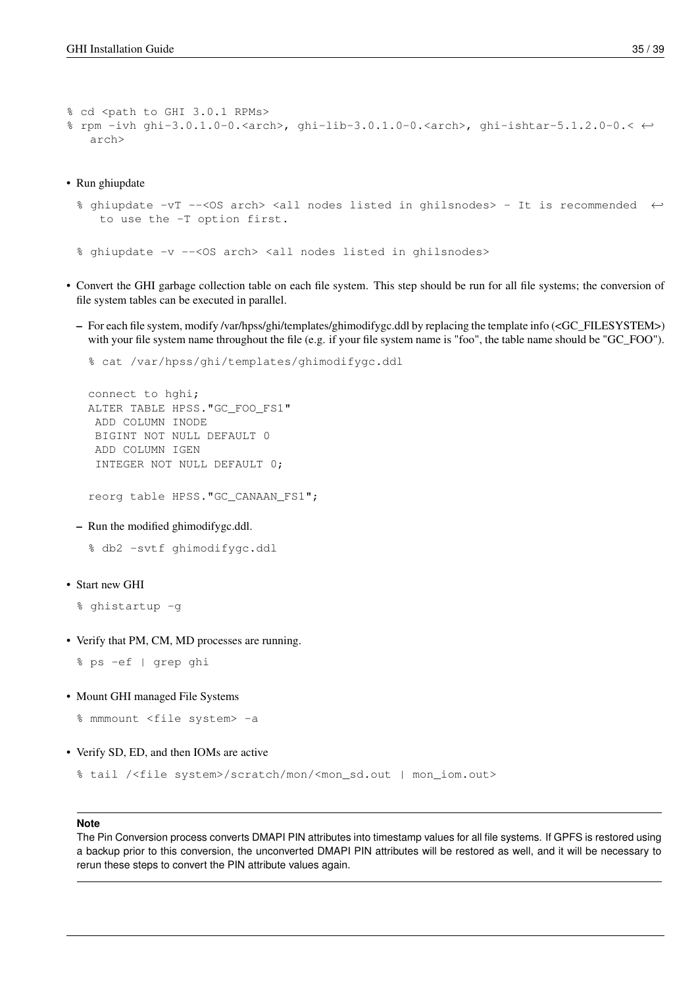```
% cd <path to GHI 3.0.1 RPMs>
% rpm -ivh ghi-3.0.1.0-0.<arch>, ghi-lib-3.0.1.0-0.<arch>, ghi-ishtar-5.1.2.0-0.< \leftrightarrowarch>
```
• Run ghiupdate

```
% ghiupdate -vT --<OS arch> <all nodes listed in ghilsnodes> - It is recommended ←
   to use the -T option first.
```
% ghiupdate -v --< OS arch> <all nodes listed in ghilsnodes>

- Convert the GHI garbage collection table on each file system. This step should be run for all file systems; the conversion of file system tables can be executed in parallel.
	- For each file system, modify /var/hpss/ghi/templates/ghimodifygc.ddl by replacing the template info (<GC\_FILESYSTEM>) with your file system name throughout the file (e.g. if your file system name is "foo", the table name should be "GC\_FOO").

```
% cat /var/hpss/ghi/templates/ghimodifygc.ddl
```

```
connect to hghi;
ALTER TABLE HPSS."GC_FOO_FS1"
 ADD COLUMN INODE
 BIGINT NOT NULL DEFAULT 0
 ADD COLUMN IGEN
 INTEGER NOT NULL DEFAULT 0;
```
reorg table HPSS."GC\_CANAAN\_FS1";

– Run the modified ghimodifygc.ddl.

% db2 -svtf ghimodifygc.ddl

• Start new GHI

```
% ghistartup -g
```
• Verify that PM, CM, MD processes are running.

```
% ps -ef | grep ghi
```
• Mount GHI managed File Systems

```
% mmmount <file system> -a
```

```
• Verify SD, ED, and then IOMs are active
```

```
% tail /<file system>/scratch/mon/<mon_sd.out | mon_iom.out>
```
#### **Note**

The Pin Conversion process converts DMAPI PIN attributes into timestamp values for all file systems. If GPFS is restored using a backup prior to this conversion, the unconverted DMAPI PIN attributes will be restored as well, and it will be necessary to rerun these steps to convert the PIN attribute values again.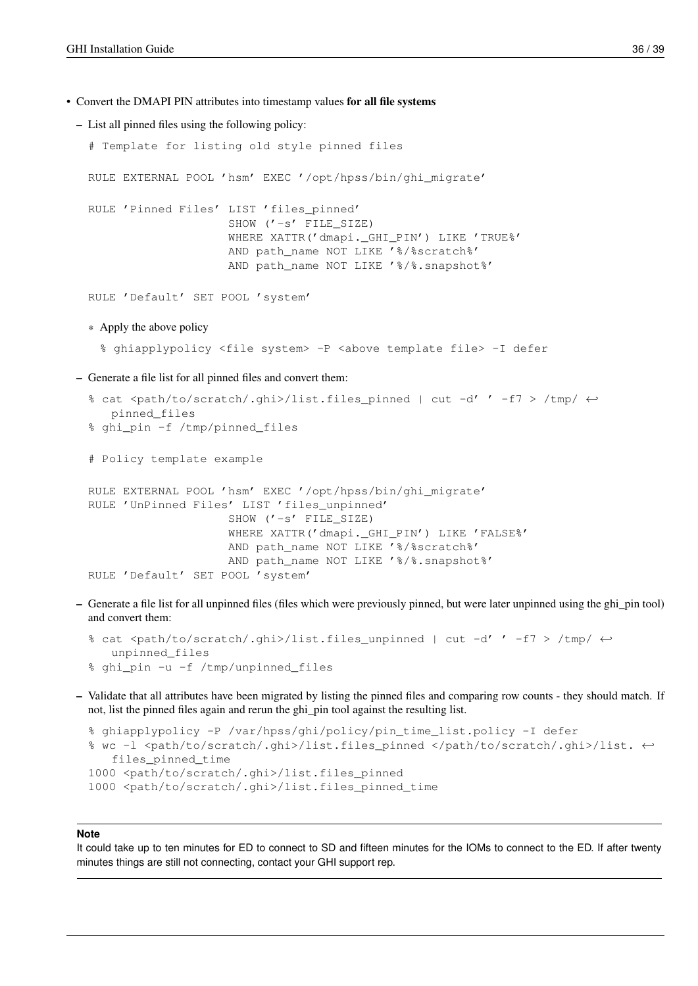• Convert the DMAPI PIN attributes into timestamp values for all file systems

```
– List all pinned files using the following policy:
```

```
# Template for listing old style pinned files
 RULE EXTERNAL POOL 'hsm' EXEC '/opt/hpss/bin/ghi_migrate'
 RULE 'Pinned Files' LIST 'files_pinned'
                       SHOW ('-s' FILE_SIZE)
                       WHERE XATTR('dmapi._GHI_PIN') LIKE 'TRUE%'
                       AND path_name NOT LIKE '%/%scratch%'
                       AND path_name NOT LIKE '%/%.snapshot%'
 RULE 'Default' SET POOL 'system'
  * Apply the above policy
   % ghiapplypolicy <file system> -P <above template file> -I defer
– Generate a file list for all pinned files and convert them:
  % cat <path/to/scratch/.ghi>/list.files_pinned | cut -d' ' -f7 > /tmp/ \leftrightarrowpinned_files
  % ghi_pin -f /tmp/pinned_files
  # Policy template example
 RULE EXTERNAL POOL 'hsm' EXEC '/opt/hpss/bin/ghi_migrate'
 RULE 'UnPinned Files' LIST 'files_unpinned'
                       SHOW ('-s' FILE_SIZE)
                       WHERE XATTR('dmapi._GHI_PIN') LIKE 'FALSE%'
                       AND path_name NOT LIKE '%/%scratch%'
                       AND path_name NOT LIKE '%/%.snapshot%'
 RULE 'Default' SET POOL 'system'
```
– Generate a file list for all unpinned files (files which were previously pinned, but were later unpinned using the ghi\_pin tool) and convert them:

```
% cat <path/to/scratch/.ghi>/list.files_unpinned | cut -d' ' -f7 > /tmp/ \leftrightarrowunpinned_files
% ghi_pin -u -f /tmp/unpinned_files
```
– Validate that all attributes have been migrated by listing the pinned files and comparing row counts - they should match. If not, list the pinned files again and rerun the ghi\_pin tool against the resulting list.

```
% ghiapplypolicy -P /var/hpss/ghi/policy/pin_time_list.policy -I defer
% wc -l <path/to/scratch/.ghi>/list.files_pinned </path/to/scratch/.ghi>/list. \leftrightarrowfiles_pinned_time
1000 <path/to/scratch/.ghi>/list.files_pinned
1000 <path/to/scratch/.ghi>/list.files_pinned_time
```
#### **Note**

It could take up to ten minutes for ED to connect to SD and fifteen minutes for the IOMs to connect to the ED. If after twenty minutes things are still not connecting, contact your GHI support rep.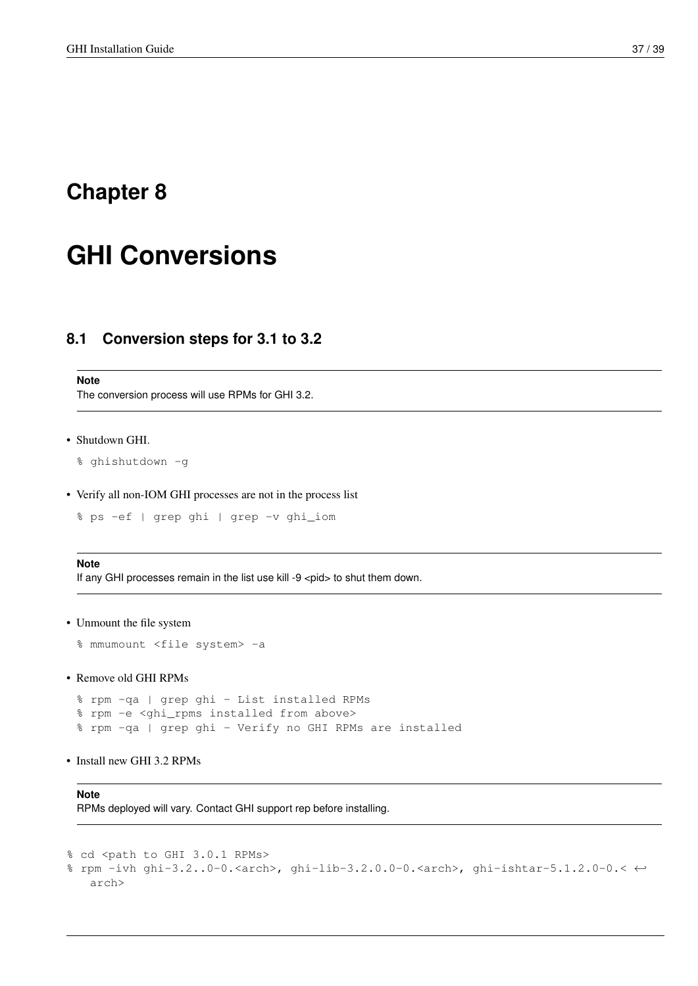# <span id="page-42-0"></span>**Chapter 8**

# **GHI Conversions**

## <span id="page-42-1"></span>**8.1 Conversion steps for 3.1 to 3.2**

#### **Note**

The conversion process will use RPMs for GHI 3.2.

```
• Shutdown GHI.
```

```
% ghishutdown -g
```
• Verify all non-IOM GHI processes are not in the process list

% ps -ef | grep ghi | grep -v ghi\_iom

### **Note**

If any GHI processes remain in the list use kill -9 <pid> to shut them down.

```
• Unmount the file system
```

```
% mmumount <file system> -a
```
• Remove old GHI RPMs

% rpm -qa | grep ghi - List installed RPMs % rpm -e <ghi\_rpms installed from above> % rpm -qa | grep ghi - Verify no GHI RPMs are installed

• Install new GHI 3.2 RPMs

**Note** RPMs deployed will vary. Contact GHI support rep before installing.

```
% cd <path to GHI 3.0.1 RPMs>
% rpm -ivh ghi-3.2..0-0.<arch>, ghi-lib-3.2.0.0-0.<arch>, ghi-ishtar-5.1.2.0-0.< ←-
   arch>
```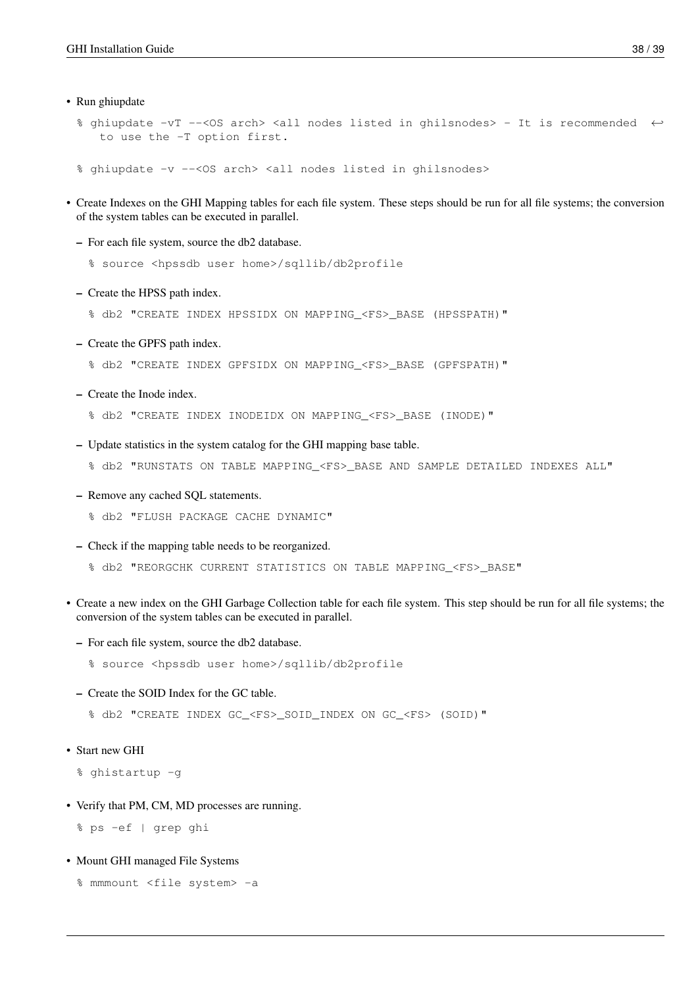- Run ghiupdate
	- % ghiupdate -vT --<OS arch> <all nodes listed in ghilsnodes> It is recommended ← to use the -T option first.
	- % ghiupdate -v --< OS arch> <all nodes listed in ghilsnodes>
- Create Indexes on the GHI Mapping tables for each file system. These steps should be run for all file systems; the conversion of the system tables can be executed in parallel.
	- For each file system, source the db2 database.
		- % source <hpssdb user home>/sqllib/db2profile
	- Create the HPSS path index.
		- % db2 "CREATE INDEX HPSSIDX ON MAPPING\_<FS>\_BASE (HPSSPATH)"
	- Create the GPFS path index.
		- % db2 "CREATE INDEX GPFSIDX ON MAPPING\_<FS>\_BASE (GPFSPATH)"
	- Create the Inode index.
		- % db2 "CREATE INDEX INODEIDX ON MAPPING\_<FS>\_BASE (INODE)"
	- Update statistics in the system catalog for the GHI mapping base table.
		- % db2 "RUNSTATS ON TABLE MAPPING\_<FS>\_BASE AND SAMPLE DETAILED INDEXES ALL"
	- Remove any cached SQL statements.
		- % db2 "FLUSH PACKAGE CACHE DYNAMIC"
	- Check if the mapping table needs to be reorganized.
		- % db2 "REORGCHK CURRENT STATISTICS ON TABLE MAPPING\_<FS>\_BASE"
- Create a new index on the GHI Garbage Collection table for each file system. This step should be run for all file systems; the conversion of the system tables can be executed in parallel.
	- For each file system, source the db2 database.
		- % source <hpssdb user home>/sqllib/db2profile
	- Create the SOID Index for the GC table.
		- % db2 "CREATE INDEX GC\_<FS>\_SOID\_INDEX ON GC\_<FS> (SOID)"
- Start new GHI

```
% ghistartup -g
```
• Verify that PM, CM, MD processes are running.

```
% ps -ef | grep ghi
```
- Mount GHI managed File Systems
	- % mmmount <file system> -a